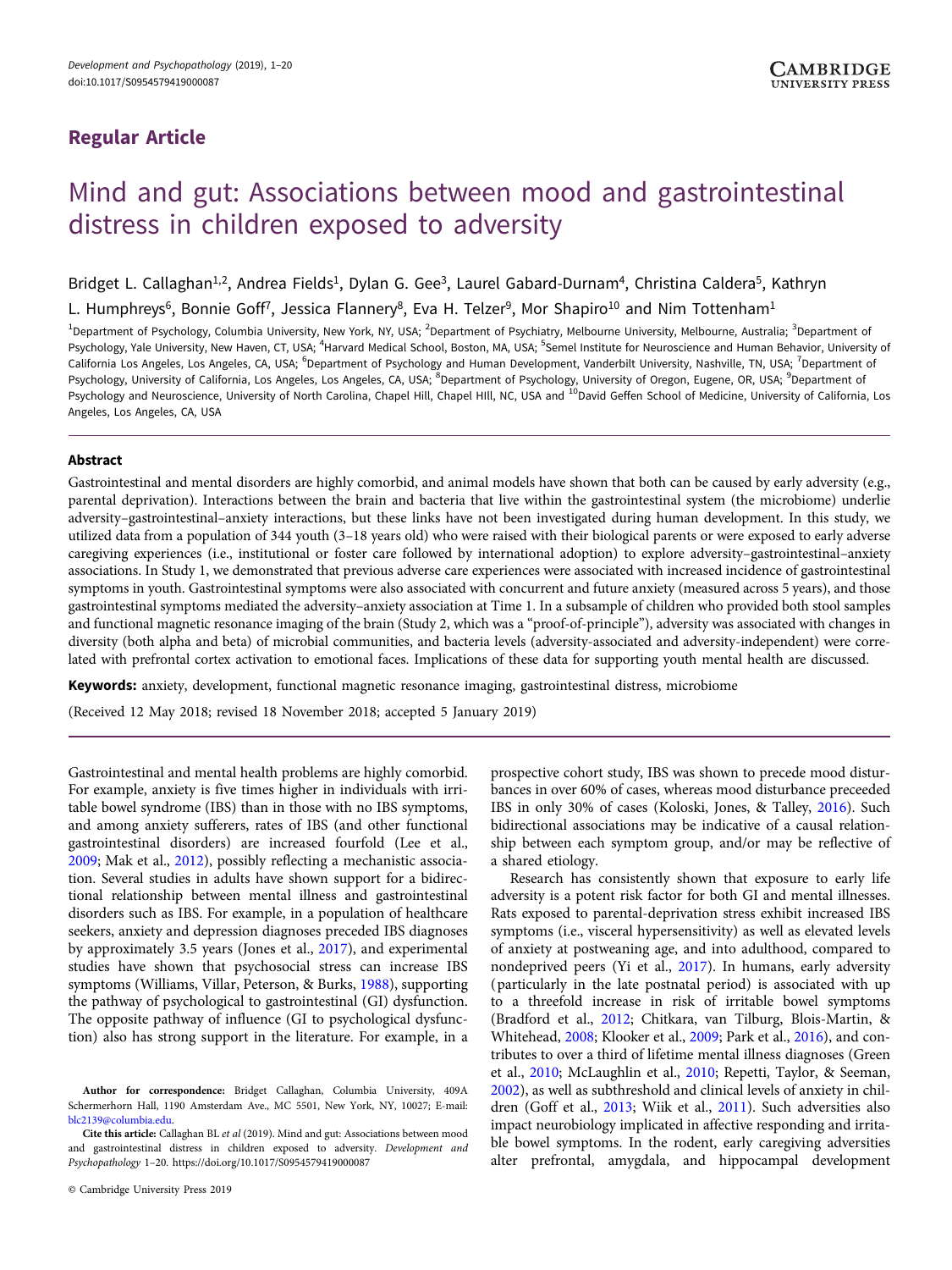## Regular Article

# Mind and gut: Associations between mood and gastrointestinal distress in children exposed to adversity

Bridget L. Callaghan<sup>1,2</sup>, Andrea Fields<sup>1</sup>, Dylan G. Gee<sup>3</sup>, Laurel Gabard-Durnam<sup>4</sup>, Christina Caldera<sup>5</sup>, Kathryn

L. Humphreys<sup>6</sup>, Bonnie Goff<sup>7</sup>, Jessica Flannery<sup>8</sup>, Eva H. Telzer<sup>9</sup>, Mor Shapiro<sup>10</sup> and Nim Tottenham<sup>1</sup>

<sup>1</sup>Department of Psychology, Columbia University, New York, NY, USA; <sup>2</sup>Department of Psychiatry, Melbourne University, Melbourne, Australia; <sup>3</sup>Department of Psychology, Yale University, New Haven, CT, USA; <sup>4</sup>Harvard Medical School, Boston, MA, USA; <sup>5</sup>Semel Institute for Neuroscience and Human Behavior, University of California Los Angeles, Los Angeles, CA, USA; <sup>6</sup>Department of Psychology and Human Development, Vanderbilt University, Nashville, TN, USA; <sup>7</sup>Department of Psychology, University of California, Los Angeles, Los Angeles, CA, USA; <sup>8</sup>Department of Psychology, University of Oregon, Eugene, OR, USA; <sup>9</sup>Department of Psychology and Neuroscience, University of North Carolina, Chapel Hill, Chapel Hill, NC, USA and <sup>10</sup>David Geffen School of Medicine, University of California, Los Angeles, Los Angeles, CA, USA

#### Abstract

Gastrointestinal and mental disorders are highly comorbid, and animal models have shown that both can be caused by early adversity (e.g., parental deprivation). Interactions between the brain and bacteria that live within the gastrointestinal system (the microbiome) underlie adversity–gastrointestinal–anxiety interactions, but these links have not been investigated during human development. In this study, we utilized data from a population of 344 youth (3–18 years old) who were raised with their biological parents or were exposed to early adverse caregiving experiences (i.e., institutional or foster care followed by international adoption) to explore adversity–gastrointestinal–anxiety associations. In Study 1, we demonstrated that previous adverse care experiences were associated with increased incidence of gastrointestinal symptoms in youth. Gastrointestinal symptoms were also associated with concurrent and future anxiety (measured across 5 years), and those gastrointestinal symptoms mediated the adversity–anxiety association at Time 1. In a subsample of children who provided both stool samples and functional magnetic resonance imaging of the brain (Study 2, which was a "proof-of-principle"), adversity was associated with changes in diversity (both alpha and beta) of microbial communities, and bacteria levels (adversity-associated and adversity-independent) were correlated with prefrontal cortex activation to emotional faces. Implications of these data for supporting youth mental health are discussed.

Keywords: anxiety, development, functional magnetic resonance imaging, gastrointestinal distress, microbiome

(Received 12 May 2018; revised 18 November 2018; accepted 5 January 2019)

Gastrointestinal and mental health problems are highly comorbid. For example, anxiety is five times higher in individuals with irritable bowel syndrome (IBS) than in those with no IBS symptoms, and among anxiety sufferers, rates of IBS (and other functional gastrointestinal disorders) are increased fourfold (Lee et al., [2009;](#page-18-0) Mak et al., [2012](#page-18-0)), possibly reflecting a mechanistic association. Several studies in adults have shown support for a bidirectional relationship between mental illness and gastrointestinal disorders such as IBS. For example, in a population of healthcare seekers, anxiety and depression diagnoses preceded IBS diagnoses by approximately 3.5 years (Jones et al., [2017\)](#page-18-0), and experimental studies have shown that psychosocial stress can increase IBS symptoms (Williams, Villar, Peterson, & Burks, [1988\)](#page-19-0), supporting the pathway of psychological to gastrointestinal (GI) dysfunction. The opposite pathway of influence (GI to psychological dysfunction) also has strong support in the literature. For example, in a

prospective cohort study, IBS was shown to precede mood disturbances in over 60% of cases, whereas mood disturbance preceeded IBS in only 30% of cases (Koloski, Jones, & Talley, [2016](#page-18-0)). Such bidirectional associations may be indicative of a causal relationship between each symptom group, and/or may be reflective of a shared etiology.

Research has consistently shown that exposure to early life adversity is a potent risk factor for both GI and mental illnesses. Rats exposed to parental-deprivation stress exhibit increased IBS symptoms (i.e., visceral hypersensitivity) as well as elevated levels of anxiety at postweaning age, and into adulthood, compared to nondeprived peers (Yi et al., [2017](#page-19-0)). In humans, early adversity (particularly in the late postnatal period) is associated with up to a threefold increase in risk of irritable bowel symptoms (Bradford et al., [2012](#page-17-0); Chitkara, van Tilburg, Blois-Martin, & Whitehead, [2008;](#page-17-0) Klooker et al., [2009;](#page-18-0) Park et al., [2016\)](#page-18-0), and contributes to over a third of lifetime mental illness diagnoses (Green et al., [2010;](#page-18-0) McLaughlin et al., [2010](#page-18-0); Repetti, Taylor, & Seeman, [2002](#page-18-0)), as well as subthreshold and clinical levels of anxiety in children (Goff et al., [2013;](#page-18-0) Wiik et al., [2011](#page-19-0)). Such adversities also impact neurobiology implicated in affective responding and irritable bowel symptoms. In the rodent, early caregiving adversities alter prefrontal, amygdala, and hippocampal development

Author for correspondence: Bridget Callaghan, Columbia University, 409A Schermerhorn Hall, 1190 Amsterdam Ave., MC 5501, New York, NY, 10027; E-mail: [blc2139@columbia.edu](mailto:blc2139@columbia.edu).

Cite this article: Callaghan BL et al (2019). Mind and gut: Associations between mood and gastrointestinal distress in children exposed to adversity. Development and Psychopathology 1–20.<https://doi.org/10.1017/S0954579419000087>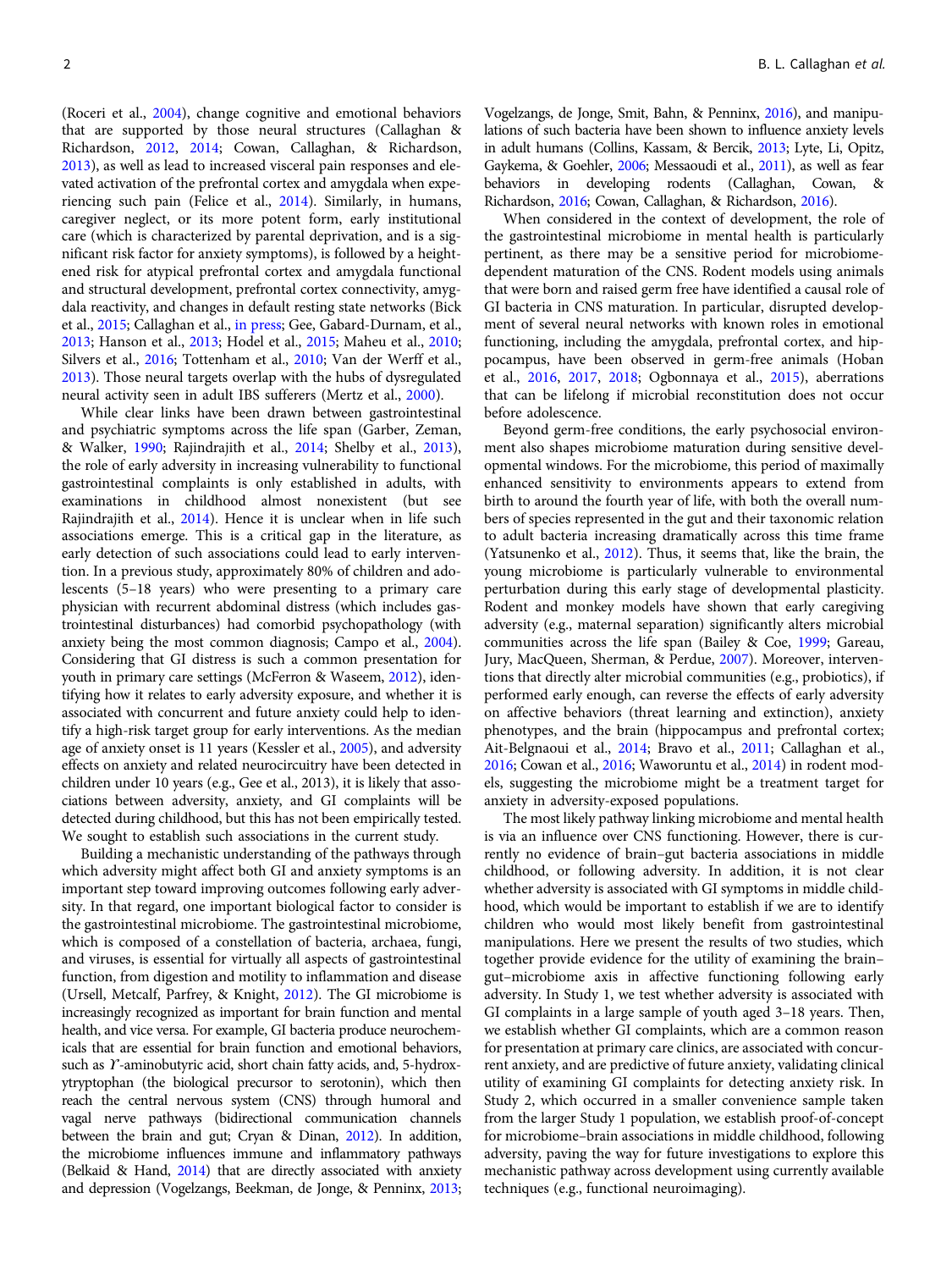(Roceri et al., [2004](#page-19-0)), change cognitive and emotional behaviors that are supported by those neural structures (Callaghan & Richardson, [2012](#page-17-0), [2014;](#page-17-0) Cowan, Callaghan, & Richardson, [2013\)](#page-17-0), as well as lead to increased visceral pain responses and elevated activation of the prefrontal cortex and amygdala when experiencing such pain (Felice et al., [2014](#page-17-0)). Similarly, in humans, caregiver neglect, or its more potent form, early institutional care (which is characterized by parental deprivation, and is a significant risk factor for anxiety symptoms), is followed by a heightened risk for atypical prefrontal cortex and amygdala functional and structural development, prefrontal cortex connectivity, amygdala reactivity, and changes in default resting state networks (Bick et al., [2015](#page-17-0); Callaghan et al., [in press;](#page-17-0) Gee, Gabard-Durnam, et al., [2013;](#page-17-0) Hanson et al., [2013](#page-18-0); Hodel et al., [2015](#page-18-0); Maheu et al., [2010;](#page-18-0) Silvers et al., [2016](#page-19-0); Tottenham et al., [2010;](#page-19-0) Van der Werff et al., [2013\)](#page-19-0). Those neural targets overlap with the hubs of dysregulated neural activity seen in adult IBS sufferers (Mertz et al., [2000\)](#page-18-0).

While clear links have been drawn between gastrointestinal and psychiatric symptoms across the life span (Garber, Zeman, & Walker, [1990;](#page-17-0) Rajindrajith et al., [2014](#page-18-0); Shelby et al., [2013\)](#page-19-0), the role of early adversity in increasing vulnerability to functional gastrointestinal complaints is only established in adults, with examinations in childhood almost nonexistent (but see Rajindrajith et al., [2014\)](#page-18-0). Hence it is unclear when in life such associations emerge. This is a critical gap in the literature, as early detection of such associations could lead to early intervention. In a previous study, approximately 80% of children and adolescents (5–18 years) who were presenting to a primary care physician with recurrent abdominal distress (which includes gastrointestinal disturbances) had comorbid psychopathology (with anxiety being the most common diagnosis; Campo et al., [2004\)](#page-17-0). Considering that GI distress is such a common presentation for youth in primary care settings (McFerron & Waseem, [2012](#page-18-0)), identifying how it relates to early adversity exposure, and whether it is associated with concurrent and future anxiety could help to identify a high-risk target group for early interventions. As the median age of anxiety onset is 11 years (Kessler et al., [2005\)](#page-18-0), and adversity effects on anxiety and related neurocircuitry have been detected in children under 10 years (e.g., Gee et al., 2013), it is likely that associations between adversity, anxiety, and GI complaints will be detected during childhood, but this has not been empirically tested. We sought to establish such associations in the current study.

Building a mechanistic understanding of the pathways through which adversity might affect both GI and anxiety symptoms is an important step toward improving outcomes following early adversity. In that regard, one important biological factor to consider is the gastrointestinal microbiome. The gastrointestinal microbiome, which is composed of a constellation of bacteria, archaea, fungi, and viruses, is essential for virtually all aspects of gastrointestinal function, from digestion and motility to inflammation and disease (Ursell, Metcalf, Parfrey, & Knight, [2012\)](#page-19-0). The GI microbiome is increasingly recognized as important for brain function and mental health, and vice versa. For example, GI bacteria produce neurochemicals that are essential for brain function and emotional behaviors, such as Y-aminobutyric acid, short chain fatty acids, and, 5-hydroxytryptophan (the biological precursor to serotonin), which then reach the central nervous system (CNS) through humoral and vagal nerve pathways (bidirectional communication channels between the brain and gut; Cryan & Dinan, [2012](#page-17-0)). In addition, the microbiome influences immune and inflammatory pathways (Belkaid & Hand, [2014](#page-17-0)) that are directly associated with anxiety and depression (Vogelzangs, Beekman, de Jonge, & Penninx, [2013;](#page-19-0)

Vogelzangs, de Jonge, Smit, Bahn, & Penninx, [2016\)](#page-19-0), and manipulations of such bacteria have been shown to influence anxiety levels in adult humans (Collins, Kassam, & Bercik, [2013](#page-17-0); Lyte, Li, Opitz, Gaykema, & Goehler, [2006;](#page-18-0) Messaoudi et al., [2011\)](#page-18-0), as well as fear behaviors in developing rodents (Callaghan, Cowan, & Richardson, [2016](#page-17-0); Cowan, Callaghan, & Richardson, [2016](#page-17-0)).

When considered in the context of development, the role of the gastrointestinal microbiome in mental health is particularly pertinent, as there may be a sensitive period for microbiomedependent maturation of the CNS. Rodent models using animals that were born and raised germ free have identified a causal role of GI bacteria in CNS maturation. In particular, disrupted development of several neural networks with known roles in emotional functioning, including the amygdala, prefrontal cortex, and hippocampus, have been observed in germ-free animals (Hoban et al., [2016,](#page-18-0) [2017,](#page-18-0) [2018;](#page-18-0) Ogbonnaya et al., [2015\)](#page-18-0), aberrations that can be lifelong if microbial reconstitution does not occur before adolescence.

Beyond germ-free conditions, the early psychosocial environment also shapes microbiome maturation during sensitive developmental windows. For the microbiome, this period of maximally enhanced sensitivity to environments appears to extend from birth to around the fourth year of life, with both the overall numbers of species represented in the gut and their taxonomic relation to adult bacteria increasing dramatically across this time frame (Yatsunenko et al., [2012](#page-19-0)). Thus, it seems that, like the brain, the young microbiome is particularly vulnerable to environmental perturbation during this early stage of developmental plasticity. Rodent and monkey models have shown that early caregiving adversity (e.g., maternal separation) significantly alters microbial communities across the life span (Bailey & Coe, [1999;](#page-17-0) Gareau, Jury, MacQueen, Sherman, & Perdue, [2007](#page-17-0)). Moreover, interventions that directly alter microbial communities (e.g., probiotics), if performed early enough, can reverse the effects of early adversity on affective behaviors (threat learning and extinction), anxiety phenotypes, and the brain (hippocampus and prefrontal cortex; Ait-Belgnaoui et al., [2014;](#page-17-0) Bravo et al., [2011;](#page-17-0) Callaghan et al., [2016](#page-17-0); Cowan et al., [2016](#page-17-0); Waworuntu et al., [2014](#page-19-0)) in rodent models, suggesting the microbiome might be a treatment target for anxiety in adversity-exposed populations.

The most likely pathway linking microbiome and mental health is via an influence over CNS functioning. However, there is currently no evidence of brain–gut bacteria associations in middle childhood, or following adversity. In addition, it is not clear whether adversity is associated with GI symptoms in middle childhood, which would be important to establish if we are to identify children who would most likely benefit from gastrointestinal manipulations. Here we present the results of two studies, which together provide evidence for the utility of examining the brain– gut–microbiome axis in affective functioning following early adversity. In Study 1, we test whether adversity is associated with GI complaints in a large sample of youth aged 3–18 years. Then, we establish whether GI complaints, which are a common reason for presentation at primary care clinics, are associated with concurrent anxiety, and are predictive of future anxiety, validating clinical utility of examining GI complaints for detecting anxiety risk. In Study 2, which occurred in a smaller convenience sample taken from the larger Study 1 population, we establish proof-of-concept for microbiome–brain associations in middle childhood, following adversity, paving the way for future investigations to explore this mechanistic pathway across development using currently available techniques (e.g., functional neuroimaging).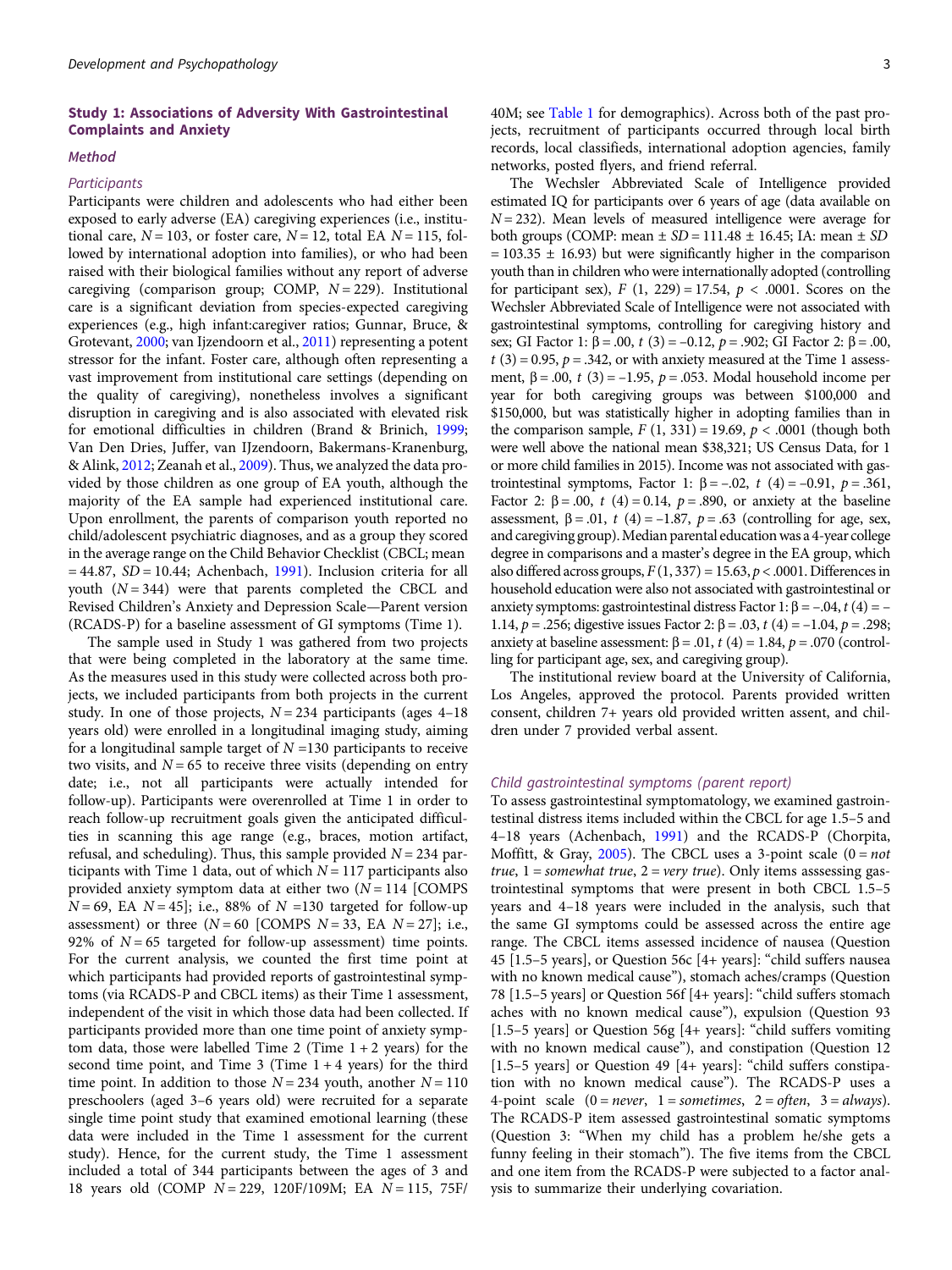## Study 1: Associations of Adversity With Gastrointestinal Complaints and Anxiety

#### Method

#### **Participants**

Participants were children and adolescents who had either been exposed to early adverse (EA) caregiving experiences (i.e., institutional care,  $N = 103$ , or foster care,  $N = 12$ , total EA  $N = 115$ , followed by international adoption into families), or who had been raised with their biological families without any report of adverse caregiving (comparison group; COMP,  $N = 229$ ). Institutional care is a significant deviation from species-expected caregiving experiences (e.g., high infant:caregiver ratios; Gunnar, Bruce, & Grotevant, [2000](#page-18-0); van Ijzendoorn et al., [2011\)](#page-19-0) representing a potent stressor for the infant. Foster care, although often representing a vast improvement from institutional care settings (depending on the quality of caregiving), nonetheless involves a significant disruption in caregiving and is also associated with elevated risk for emotional difficulties in children (Brand & Brinich, [1999;](#page-17-0) Van Den Dries, Juffer, van IJzendoorn, Bakermans-Kranenburg, & Alink, [2012](#page-19-0); Zeanah et al., [2009](#page-19-0)). Thus, we analyzed the data provided by those children as one group of EA youth, although the majority of the EA sample had experienced institutional care. Upon enrollment, the parents of comparison youth reported no child/adolescent psychiatric diagnoses, and as a group they scored in the average range on the Child Behavior Checklist (CBCL; mean  $= 44.87$ ,  $SD = 10.44$ ; Achenbach, [1991](#page-17-0)). Inclusion criteria for all youth  $(N = 344)$  were that parents completed the CBCL and Revised Children's Anxiety and Depression Scale—Parent version (RCADS-P) for a baseline assessment of GI symptoms (Time 1).

The sample used in Study 1 was gathered from two projects that were being completed in the laboratory at the same time. As the measures used in this study were collected across both projects, we included participants from both projects in the current study. In one of those projects,  $N = 234$  participants (ages 4-18) years old) were enrolled in a longitudinal imaging study, aiming for a longitudinal sample target of  $N = 130$  participants to receive two visits, and  $N = 65$  to receive three visits (depending on entry date; i.e., not all participants were actually intended for follow-up). Participants were overenrolled at Time 1 in order to reach follow-up recruitment goals given the anticipated difficulties in scanning this age range (e.g., braces, motion artifact, refusal, and scheduling). Thus, this sample provided  $N = 234$  participants with Time 1 data, out of which  $N = 117$  participants also provided anxiety symptom data at either two  $(N = 114$  [COMPS  $N = 69$ , EA  $N = 45$ ]; i.e., 88% of  $N = 130$  targeted for follow-up assessment) or three  $(N = 60$  [COMPS  $N = 33$ , EA  $N = 27$ ]; i.e., 92% of  $N = 65$  targeted for follow-up assessment) time points. For the current analysis, we counted the first time point at which participants had provided reports of gastrointestinal symptoms (via RCADS-P and CBCL items) as their Time 1 assessment, independent of the visit in which those data had been collected. If participants provided more than one time point of anxiety symptom data, those were labelled Time 2 (Time  $1 + 2$  years) for the second time point, and Time  $3$  (Time  $1+4$  years) for the third time point. In addition to those  $N = 234$  youth, another  $N = 110$ preschoolers (aged 3–6 years old) were recruited for a separate single time point study that examined emotional learning (these data were included in the Time 1 assessment for the current study). Hence, for the current study, the Time 1 assessment included a total of 344 participants between the ages of 3 and 18 years old (COMP N = 229, 120F/109M; EA N = 115, 75F/

40M; see [Table 1](#page-3-0) for demographics). Across both of the past projects, recruitment of participants occurred through local birth records, local classifieds, international adoption agencies, family networks, posted flyers, and friend referral.

The Wechsler Abbreviated Scale of Intelligence provided estimated IQ for participants over 6 years of age (data available on  $N = 232$ ). Mean levels of measured intelligence were average for both groups (COMP: mean  $\pm SD = 111.48 \pm 16.45$ ; IA: mean  $\pm SD$  $= 103.35 \pm 16.93$ ) but were significantly higher in the comparison youth than in children who were internationally adopted (controlling for participant sex),  $F(1, 229) = 17.54$ ,  $p < .0001$ . Scores on the Wechsler Abbreviated Scale of Intelligence were not associated with gastrointestinal symptoms, controlling for caregiving history and sex; GI Factor 1: β = .00, t (3) = -0.12, p = .902; GI Factor 2: β = .00,  $t(3) = 0.95$ ,  $p = .342$ , or with anxiety measured at the Time 1 assessment, β = .00, t (3) = -1.95,  $p = .053$ . Modal household income per year for both caregiving groups was between \$100,000 and \$150,000, but was statistically higher in adopting families than in the comparison sample,  $F(1, 331) = 19.69$ ,  $p < .0001$  (though both were well above the national mean \$38,321; US Census Data, for 1 or more child families in 2015). Income was not associated with gastrointestinal symptoms, Factor 1:  $\beta = -.02$ , t (4) = -0.91, p = .361, Factor 2:  $\beta$  = .00, t (4) = 0.14, p = .890, or anxiety at the baseline assessment,  $\beta = .01$ ,  $t(4) = -1.87$ ,  $p = .63$  (controlling for age, sex, and caregiving group). Median parental education was a 4-year college degree in comparisons and a master's degree in the EA group, which also differed across groups,  $F(1, 337) = 15.63$ ,  $p < .0001$ . Differences in household education were also not associated with gastrointestinal or anxiety symptoms: gastrointestinal distress Factor 1: β = -.04, t (4) = -1.14, *p* = .256; digestive issues Factor 2: β = .03, *t* (4) = -1.04, *p* = .298; anxiety at baseline assessment: β = .01, t (4) = 1.84,  $p = .070$  (controlling for participant age, sex, and caregiving group).

The institutional review board at the University of California, Los Angeles, approved the protocol. Parents provided written consent, children 7+ years old provided written assent, and children under 7 provided verbal assent.

#### Child gastrointestinal symptoms (parent report)

To assess gastrointestinal symptomatology, we examined gastrointestinal distress items included within the CBCL for age 1.5–5 and 4–18 years (Achenbach, [1991](#page-17-0)) and the RCADS-P (Chorpita, Moffitt, & Gray, [2005](#page-17-0)). The CBCL uses a 3-point scale  $(0 = not$ true,  $1 =$  somewhat true,  $2 =$  very true). Only items asssessing gastrointestinal symptoms that were present in both CBCL 1.5–5 years and 4–18 years were included in the analysis, such that the same GI symptoms could be assessed across the entire age range. The CBCL items assessed incidence of nausea (Question 45 [1.5–5 years], or Question 56c [4+ years]: "child suffers nausea with no known medical cause"), stomach aches/cramps (Question 78 [1.5–5 years] or Question 56f [4+ years]: "child suffers stomach aches with no known medical cause"), expulsion (Question 93 [1.5–5 years] or Question 56g [4+ years]: "child suffers vomiting with no known medical cause"), and constipation (Question 12 [1.5–5 years] or Question 49 [4+ years]: "child suffers constipation with no known medical cause"). The RCADS-P uses a 4-point scale  $(0 = never, 1 = sometimes, 2 = often, 3 = always).$ The RCADS-P item assessed gastrointestinal somatic symptoms (Question 3: "When my child has a problem he/she gets a funny feeling in their stomach"). The five items from the CBCL and one item from the RCADS-P were subjected to a factor analysis to summarize their underlying covariation.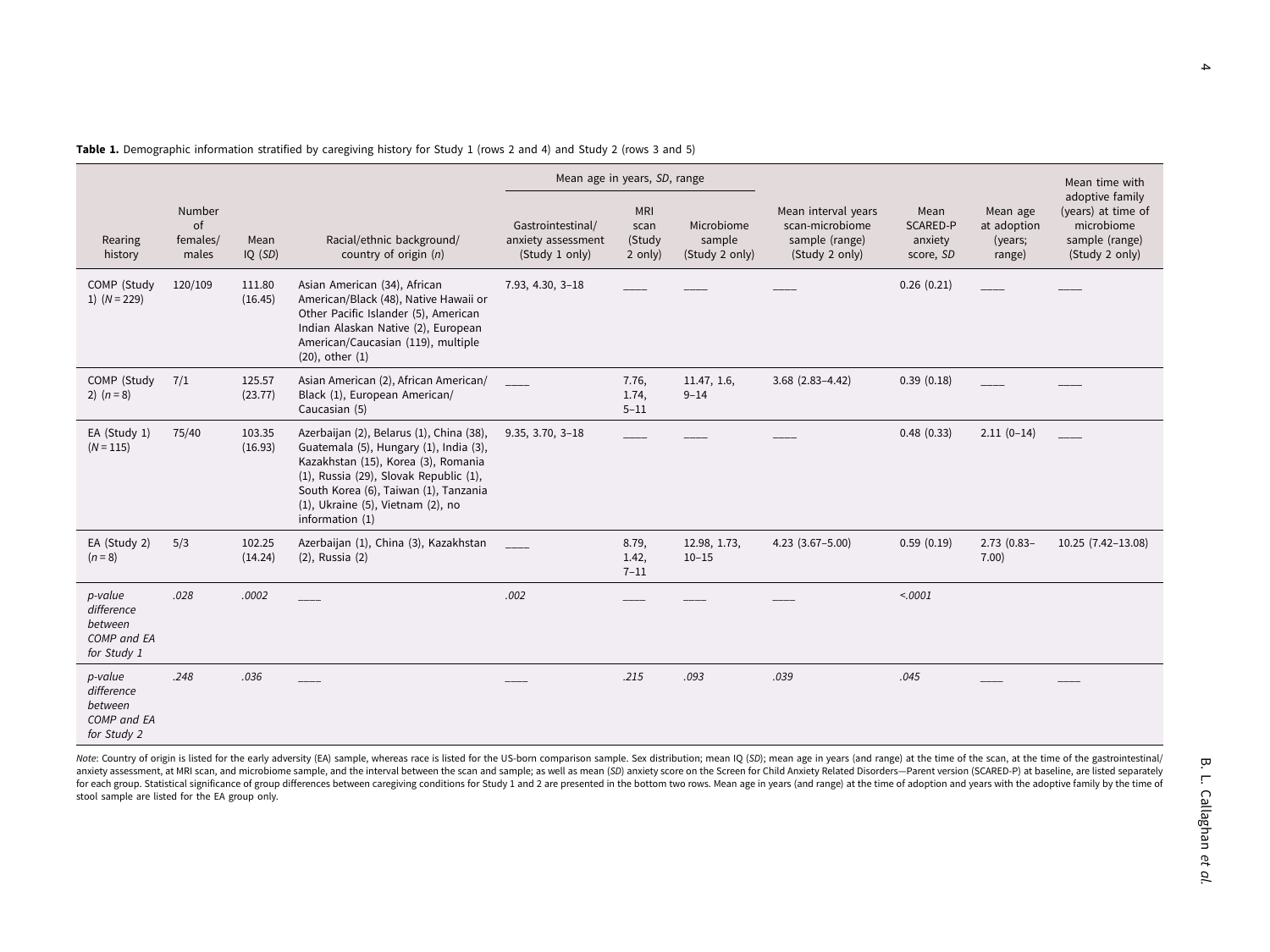|                                                                |                                   |                   |                                                                                                                                                                                                                                                                      |                                                           | Mean age in years, SD, range            |                                        |                                                                            |                                          |                                              | Mean time with                                                                          |
|----------------------------------------------------------------|-----------------------------------|-------------------|----------------------------------------------------------------------------------------------------------------------------------------------------------------------------------------------------------------------------------------------------------------------|-----------------------------------------------------------|-----------------------------------------|----------------------------------------|----------------------------------------------------------------------------|------------------------------------------|----------------------------------------------|-----------------------------------------------------------------------------------------|
| Rearing<br>history                                             | Number<br>of<br>females/<br>males | Mean<br>IQ(SD)    | Racial/ethnic background/<br>country of origin $(n)$                                                                                                                                                                                                                 | Gastrointestinal/<br>anxiety assessment<br>(Study 1 only) | <b>MRI</b><br>scan<br>(Study<br>2 only) | Microbiome<br>sample<br>(Study 2 only) | Mean interval years<br>scan-microbiome<br>sample (range)<br>(Study 2 only) | Mean<br>SCARED-P<br>anxiety<br>score, SD | Mean age<br>at adoption<br>(years;<br>range) | adoptive family<br>(years) at time of<br>microbiome<br>sample (range)<br>(Study 2 only) |
| COMP (Study<br>1) $(N = 229)$                                  | 120/109                           | 111.80<br>(16.45) | Asian American (34), African<br>American/Black (48), Native Hawaii or<br>Other Pacific Islander (5), American<br>Indian Alaskan Native (2), European<br>American/Caucasian (119), multiple<br>$(20)$ , other $(1)$                                                   | 7.93, 4.30, 3-18                                          |                                         |                                        |                                                                            | 0.26(0.21)                               |                                              |                                                                                         |
| COMP (Study<br>2) $(n = 8)$                                    | 7/1                               | 125.57<br>(23.77) | Asian American (2), African American/<br>Black (1), European American/<br>Caucasian (5)                                                                                                                                                                              |                                                           | 7.76,<br>1.74,<br>$5 - 11$              | 11.47, 1.6,<br>$9 - 14$                | $3.68$ $(2.83-4.42)$                                                       | 0.39(0.18)                               |                                              |                                                                                         |
| EA (Study 1)<br>$(N = 115)$                                    | 75/40                             | 103.35<br>(16.93) | Azerbaijan (2), Belarus (1), China (38),<br>Guatemala (5), Hungary (1), India (3),<br>Kazakhstan (15), Korea (3), Romania<br>(1), Russia (29), Slovak Republic (1),<br>South Korea (6), Taiwan (1), Tanzania<br>(1), Ukraine (5), Vietnam (2), no<br>information (1) | 9.35, 3.70, 3-18                                          |                                         |                                        |                                                                            | 0.48(0.33)                               | $2.11(0-14)$                                 |                                                                                         |
| EA (Study 2)<br>$(n = 8)$                                      | 5/3                               | 102.25<br>(14.24) | Azerbaijan (1), China (3), Kazakhstan<br>$(2)$ , Russia $(2)$                                                                                                                                                                                                        |                                                           | 8.79,<br>1.42,<br>$7 - 11$              | 12.98, 1.73,<br>$10 - 15$              | $4.23$ $(3.67 - 5.00)$                                                     | 0.59(0.19)                               | $2.73$ (0.83-<br>7.00)                       | 10.25 (7.42-13.08)                                                                      |
| p-value<br>difference<br>between<br>COMP and EA<br>for Study 1 | .028                              | .0002             |                                                                                                                                                                                                                                                                      | .002                                                      |                                         |                                        |                                                                            | < .0001                                  |                                              |                                                                                         |
| p-value<br>difference<br>between<br>COMP and EA<br>for Study 2 | .248                              | .036              |                                                                                                                                                                                                                                                                      |                                                           | .215                                    | .093                                   | .039                                                                       | .045                                     |                                              |                                                                                         |

<span id="page-3-0"></span>Table 1. Demographic information stratified by caregiving history for Study <sup>1</sup> (rows <sup>2</sup> and 4) and Study <sup>2</sup> (rows <sup>3</sup> and 5)

Note: Country of origin is listed for the early adversity (EA) sample, whereas race is listed for the US-born comparison sample. Sex distribution; mean IQ (SD); mean age in years (and range) at the time of the scan, at the anxiety assessment, at MRI scan, and microbiome sample, and the interval between the scan and sample; as well as mean (SD) anxiety score on the Screen for Child Anxiety Related Disorders-Parent version (SCARED-P) at baseli for each group. Statistical significance of group differences between caregiving conditions for Study 1 and 2 are presented in the bottom two rows. Mean age in years (and range) at the time of adoption and years with the a stool sample are listed for the EA group only.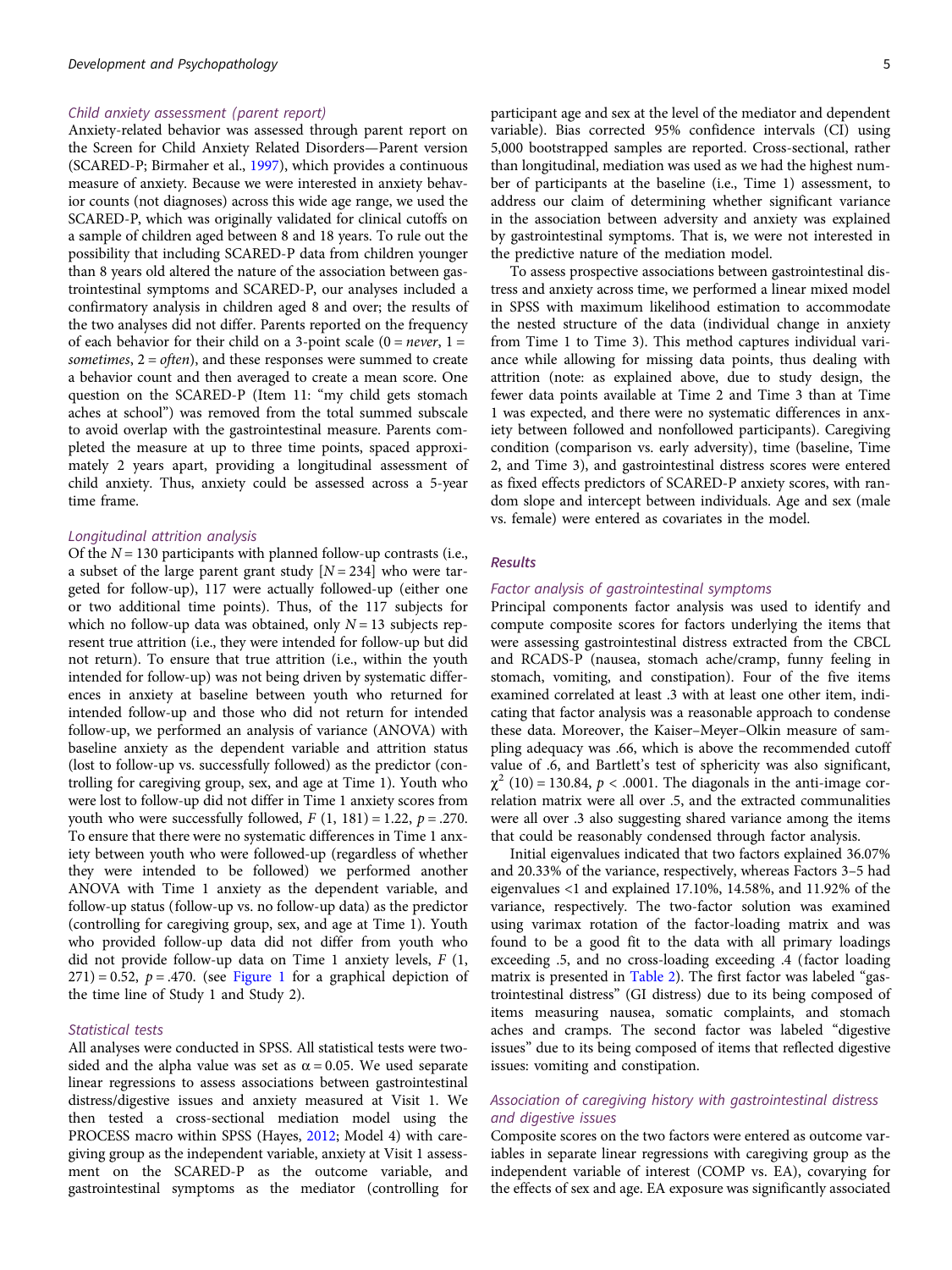#### Child anxiety assessment (parent report)

Anxiety-related behavior was assessed through parent report on the Screen for Child Anxiety Related Disorders—Parent version (SCARED-P; Birmaher et al., [1997](#page-17-0)), which provides a continuous measure of anxiety. Because we were interested in anxiety behavior counts (not diagnoses) across this wide age range, we used the SCARED-P, which was originally validated for clinical cutoffs on a sample of children aged between 8 and 18 years. To rule out the possibility that including SCARED-P data from children younger than 8 years old altered the nature of the association between gastrointestinal symptoms and SCARED-P, our analyses included a confirmatory analysis in children aged 8 and over; the results of the two analyses did not differ. Parents reported on the frequency of each behavior for their child on a 3-point scale ( $0 = never$ ,  $1 =$ sometimes,  $2 = often$ ), and these responses were summed to create a behavior count and then averaged to create a mean score. One question on the SCARED-P (Item 11: "my child gets stomach aches at school") was removed from the total summed subscale to avoid overlap with the gastrointestinal measure. Parents completed the measure at up to three time points, spaced approximately 2 years apart, providing a longitudinal assessment of child anxiety. Thus, anxiety could be assessed across a 5-year time frame.

#### Longitudinal attrition analysis

Of the  $N = 130$  participants with planned follow-up contrasts (i.e., a subset of the large parent grant study  $[N = 234]$  who were targeted for follow-up), 117 were actually followed-up (either one or two additional time points). Thus, of the 117 subjects for which no follow-up data was obtained, only  $N = 13$  subjects represent true attrition (i.e., they were intended for follow-up but did not return). To ensure that true attrition (i.e., within the youth intended for follow-up) was not being driven by systematic differences in anxiety at baseline between youth who returned for intended follow-up and those who did not return for intended follow-up, we performed an analysis of variance (ANOVA) with baseline anxiety as the dependent variable and attrition status (lost to follow-up vs. successfully followed) as the predictor (controlling for caregiving group, sex, and age at Time 1). Youth who were lost to follow-up did not differ in Time 1 anxiety scores from youth who were successfully followed,  $F(1, 181) = 1.22$ ,  $p = .270$ . To ensure that there were no systematic differences in Time 1 anxiety between youth who were followed-up (regardless of whether they were intended to be followed) we performed another ANOVA with Time 1 anxiety as the dependent variable, and follow-up status (follow-up vs. no follow-up data) as the predictor (controlling for caregiving group, sex, and age at Time 1). Youth who provided follow-up data did not differ from youth who did not provide follow-up data on Time 1 anxiety levels, F (1,  $271$ ) = 0.52, p = .470. (see [Figure 1](#page-5-0) for a graphical depiction of the time line of Study 1 and Study 2).

## Statistical tests

All analyses were conducted in SPSS. All statistical tests were twosided and the alpha value was set as  $\alpha = 0.05$ . We used separate linear regressions to assess associations between gastrointestinal distress/digestive issues and anxiety measured at Visit 1. We then tested a cross-sectional mediation model using the PROCESS macro within SPSS (Hayes, [2012;](#page-18-0) Model 4) with caregiving group as the independent variable, anxiety at Visit 1 assessment on the SCARED-P as the outcome variable, and gastrointestinal symptoms as the mediator (controlling for

participant age and sex at the level of the mediator and dependent variable). Bias corrected 95% confidence intervals (CI) using 5,000 bootstrapped samples are reported. Cross-sectional, rather than longitudinal, mediation was used as we had the highest number of participants at the baseline (i.e., Time 1) assessment, to address our claim of determining whether significant variance in the association between adversity and anxiety was explained by gastrointestinal symptoms. That is, we were not interested in the predictive nature of the mediation model.

To assess prospective associations between gastrointestinal distress and anxiety across time, we performed a linear mixed model in SPSS with maximum likelihood estimation to accommodate the nested structure of the data (individual change in anxiety from Time 1 to Time 3). This method captures individual variance while allowing for missing data points, thus dealing with attrition (note: as explained above, due to study design, the fewer data points available at Time 2 and Time 3 than at Time 1 was expected, and there were no systematic differences in anxiety between followed and nonfollowed participants). Caregiving condition (comparison vs. early adversity), time (baseline, Time 2, and Time 3), and gastrointestinal distress scores were entered as fixed effects predictors of SCARED-P anxiety scores, with random slope and intercept between individuals. Age and sex (male vs. female) were entered as covariates in the model.

## Results

#### Factor analysis of gastrointestinal symptoms

Principal components factor analysis was used to identify and compute composite scores for factors underlying the items that were assessing gastrointestinal distress extracted from the CBCL and RCADS-P (nausea, stomach ache/cramp, funny feeling in stomach, vomiting, and constipation). Four of the five items examined correlated at least .3 with at least one other item, indicating that factor analysis was a reasonable approach to condense these data. Moreover, the Kaiser–Meyer–Olkin measure of sampling adequacy was .66, which is above the recommended cutoff value of .6, and Bartlett's test of sphericity was also significant,  $\chi^2$  (10) = 130.84, p < .0001. The diagonals in the anti-image correlation matrix were all over .5, and the extracted communalities were all over .3 also suggesting shared variance among the items that could be reasonably condensed through factor analysis.

Initial eigenvalues indicated that two factors explained 36.07% and 20.33% of the variance, respectively, whereas Factors 3–5 had eigenvalues <1 and explained 17.10%, 14.58%, and 11.92% of the variance, respectively. The two-factor solution was examined using varimax rotation of the factor-loading matrix and was found to be a good fit to the data with all primary loadings exceeding .5, and no cross-loading exceeding .4 (factor loading matrix is presented in [Table 2](#page-5-0)). The first factor was labeled "gastrointestinal distress" (GI distress) due to its being composed of items measuring nausea, somatic complaints, and stomach aches and cramps. The second factor was labeled "digestive issues" due to its being composed of items that reflected digestive issues: vomiting and constipation.

## Association of caregiving history with gastrointestinal distress and digestive issues

Composite scores on the two factors were entered as outcome variables in separate linear regressions with caregiving group as the independent variable of interest (COMP vs. EA), covarying for the effects of sex and age. EA exposure was significantly associated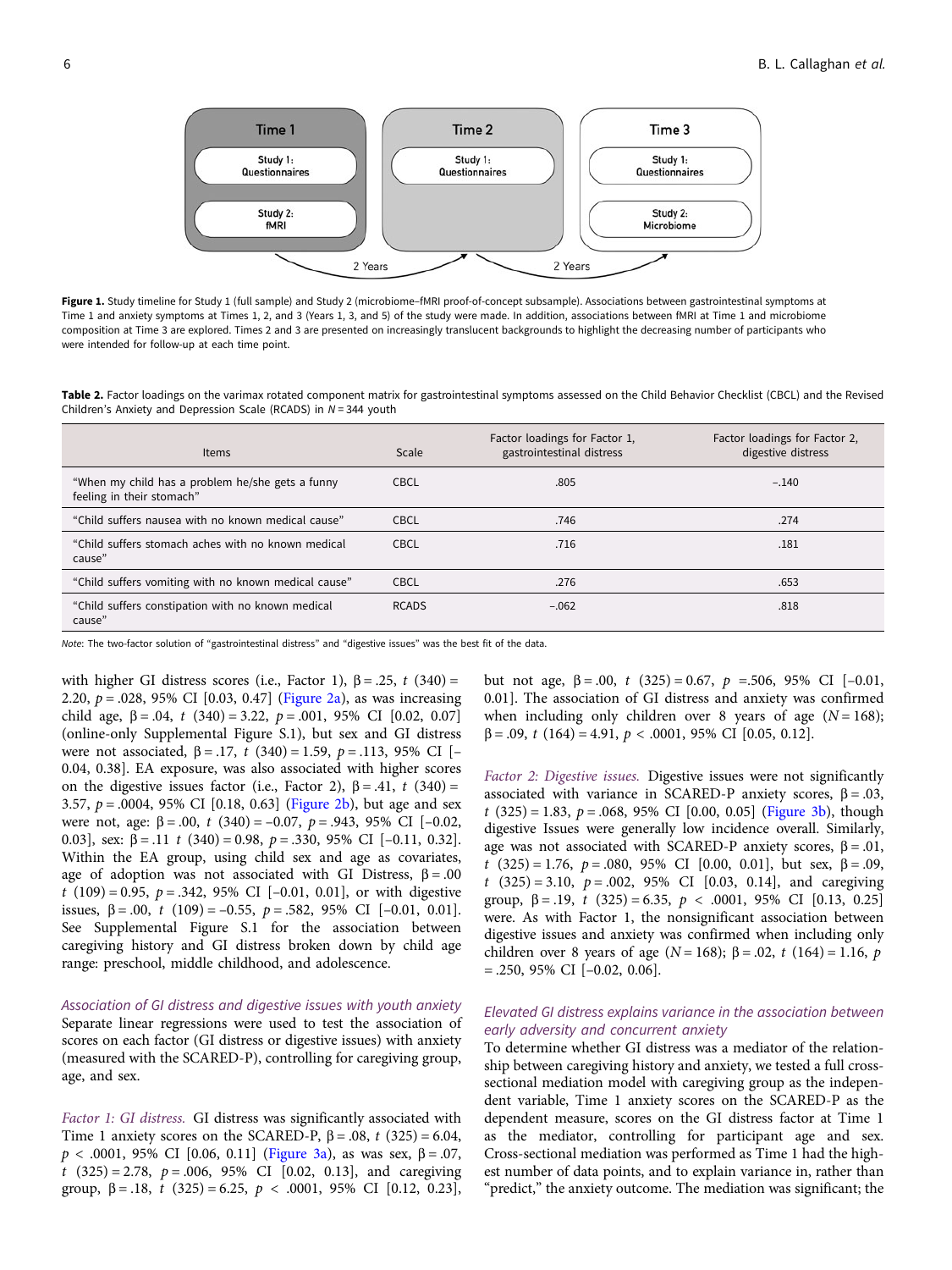<span id="page-5-0"></span>

Figure 1. Study timeline for Study 1 (full sample) and Study 2 (microbiome-fMRI proof-of-concept subsample). Associations between gastrointestinal symptoms at Time 1 and anxiety symptoms at Times 1, 2, and 3 (Years 1, 3, and 5) of the study were made. In addition, associations between fMRI at Time 1 and microbiome composition at Time 3 are explored. Times 2 and 3 are presented on increasingly translucent backgrounds to highlight the decreasing number of participants who were intended for follow-up at each time point.

Table 2. Factor loadings on the varimax rotated component matrix for gastrointestinal symptoms assessed on the Child Behavior Checklist (CBCL) and the Revised Children's Anxiety and Depression Scale (RCADS) in  $N = 344$  youth

| <b>Items</b>                                                                  | Scale        | Factor loadings for Factor 1,<br>gastrointestinal distress | Factor loadings for Factor 2,<br>digestive distress |
|-------------------------------------------------------------------------------|--------------|------------------------------------------------------------|-----------------------------------------------------|
| "When my child has a problem he/she gets a funny<br>feeling in their stomach" | CBCL         | .805                                                       | $-.140$                                             |
| "Child suffers nausea with no known medical cause"                            | CBCL         | .746                                                       | .274                                                |
| "Child suffers stomach aches with no known medical<br>cause"                  | CBCL         | .716                                                       | .181                                                |
| "Child suffers vomiting with no known medical cause"                          | CBCL         | .276                                                       | .653                                                |
| "Child suffers constipation with no known medical<br>cause"                   | <b>RCADS</b> | $-.062$                                                    | .818                                                |

Note: The two-factor solution of "gastrointestinal distress" and "digestive issues" was the best fit of the data.

with higher GI distress scores (i.e., Factor 1),  $\beta = .25$ , t (340) = 2.20,  $p = .028$ , 95% CI  $[0.03, 0.47]$  ([Figure 2a\)](#page-6-0), as was increasing child age,  $\beta = .04$ , t (340) = 3.22,  $p = .001$ , 95% CI [0.02, 0.07] (online-only Supplemental Figure S.1), but sex and GI distress were not associated,  $\beta = .17$ , t (340) = 1.59, p = .113, 95% CI [-0.04, 0.38]. EA exposure, was also associated with higher scores on the digestive issues factor (i.e., Factor 2),  $\beta = .41$ , t (340) = 3.57,  $p = .0004$ , 95% CI [0.18, 0.63] [\(Figure 2b](#page-6-0)), but age and sex were not, age: β = .00, t (340) = -0.07,  $p = .943$ , 95% CI [-0.02, 0.03], sex:  $β = .11$  t (340) = 0.98,  $p = .330$ , 95% CI [-0.11, 0.32]. Within the EA group, using child sex and age as covariates, age of adoption was not associated with GI Distress,  $β = .00$  $t(109) = 0.95$ ,  $p = 0.342$ ,  $95\%$  CI [-0.01, 0.01], or with digestive issues,  $β = .00$ , t  $(109) = -0.55$ ,  $p = .582$ ,  $95\%$  CI  $[-0.01, 0.01]$ . See Supplemental Figure S.1 for the association between caregiving history and GI distress broken down by child age range: preschool, middle childhood, and adolescence.

Association of GI distress and digestive issues with youth anxiety Separate linear regressions were used to test the association of scores on each factor (GI distress or digestive issues) with anxiety (measured with the SCARED-P), controlling for caregiving group, age, and sex.

Factor 1: GI distress. GI distress was significantly associated with Time 1 anxiety scores on the SCARED-P,  $\beta$  = .08, t (325) = 6.04,  $p$  < .0001, 95% CI [0.06, 0.11] [\(Figure 3a](#page-7-0)), as was sex, β = .07,  $t$  (325) = 2.78,  $p = .006$ , 95% CI [0.02, 0.13], and caregiving group,  $\beta = .18$ , t (325) = 6.25,  $p < .0001$ , 95% CI [0.12, 0.23],

but not age,  $β = .00$ , t  $(325) = 0.67$ ,  $p = .506$ ,  $95\%$  CI  $[-0.01]$ , 0.01]. The association of GI distress and anxiety was confirmed when including only children over 8 years of age  $(N = 168)$ ;  $\beta$  = .09, t (164) = 4.91, p < .0001, 95% CI [0.05, 0.12].

Factor 2: Digestive issues. Digestive issues were not significantly associated with variance in SCARED-P anxiety scores, β = .03,  $t$  (325) = 1.83,  $p = .068$ , 95% CI [0.00, 0.05] ([Figure 3b](#page-7-0)), though digestive Issues were generally low incidence overall. Similarly, age was not associated with SCARED-P anxiety scores,  $β = .01$ , t (325) = 1.76,  $p = .080$ , 95% CI [0.00, 0.01], but sex, β = .09,  $t$  (325) = 3.10,  $p = .002$ , 95% CI [0.03, 0.14], and caregiving group,  $\beta = .19$ , t (325) = 6.35,  $p < .0001$ , 95% CI [0.13, 0.25] were. As with Factor 1, the nonsignificant association between digestive issues and anxiety was confirmed when including only children over 8 years of age (N = 168); β = .02, t (164) = 1.16, p  $= .250, 95\% \text{ CI } [-0.02, 0.06].$ 

## Elevated GI distress explains variance in the association between early adversity and concurrent anxiety

To determine whether GI distress was a mediator of the relationship between caregiving history and anxiety, we tested a full crosssectional mediation model with caregiving group as the independent variable, Time 1 anxiety scores on the SCARED-P as the dependent measure, scores on the GI distress factor at Time 1 as the mediator, controlling for participant age and sex. Cross-sectional mediation was performed as Time 1 had the highest number of data points, and to explain variance in, rather than "predict," the anxiety outcome. The mediation was significant; the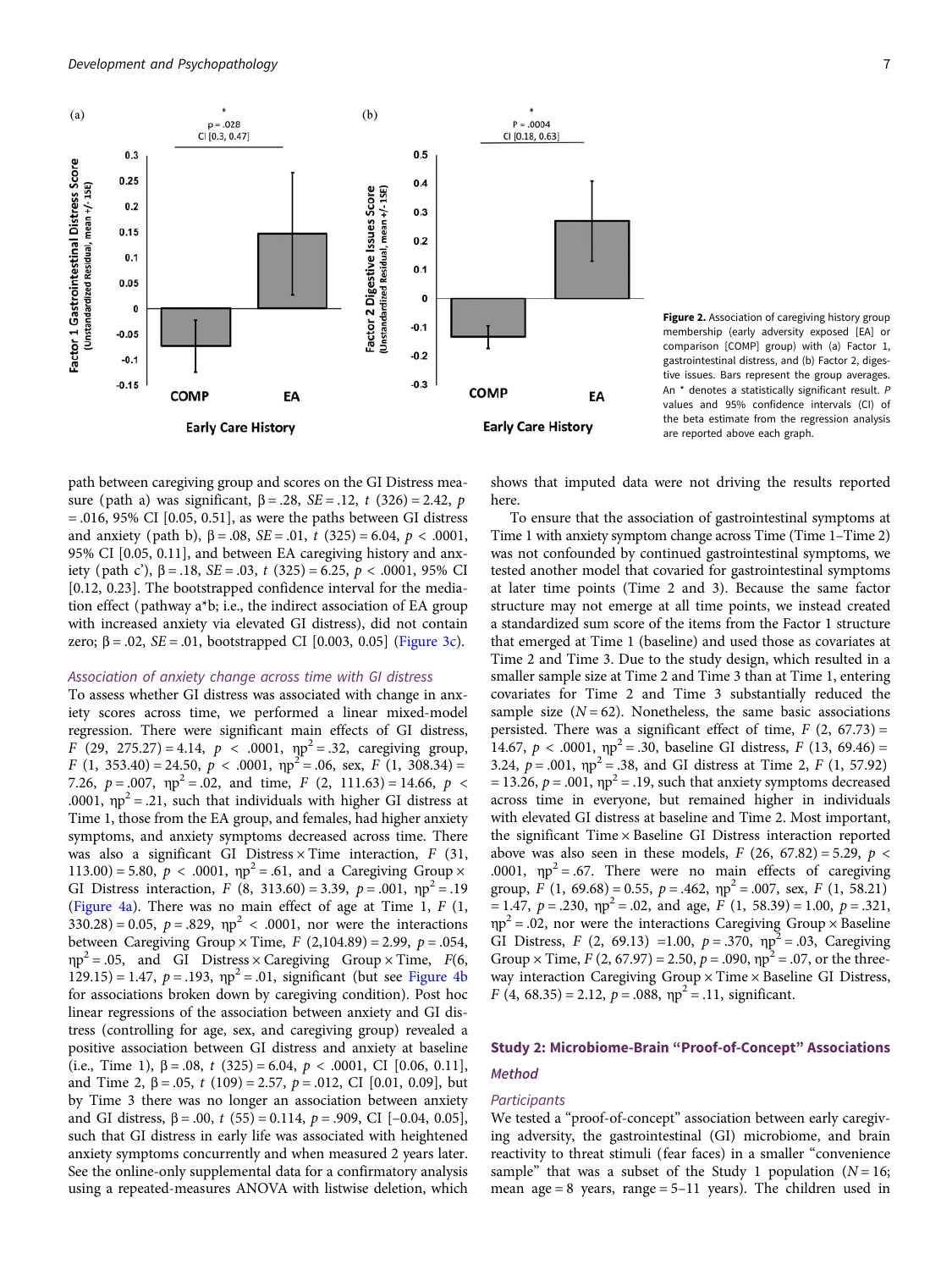<span id="page-6-0"></span>

Figure 2. Association of caregiving history group membership (early adversity exposed [EA] or comparison [COMP] group) with (a) Factor 1, gastrointestinal distress, and (b) Factor 2, digestive issues. Bars represent the group averages. An \* denotes a statistically significant result. P values and 95% confidence intervals (CI) of the beta estimate from the regression analysis are reported above each graph.

path between caregiving group and scores on the GI Distress measure (path a) was significant,  $\beta = .28$ ,  $SE = .12$ , t (326) = 2.42, p = .016, 95% CI [0.05, 0.51], as were the paths between GI distress and anxiety (path b),  $\beta = .08$ ,  $SE = .01$ ,  $t$  (325) = 6.04,  $p < .0001$ , 95% CI [0.05, 0.11], and between EA caregiving history and anxiety (path c'), β = .18, *SE* = .03, t (325) = 6.25,  $p < .0001$ , 95% CI [0.12, 0.23]. The bootstrapped confidence interval for the mediation effect (pathway a\*b; i.e., the indirect association of EA group with increased anxiety via elevated GI distress), did not contain zero;  $\beta$  = .02,  $SE$  = .01, bootstrapped CI [0.003, 0.05] ([Figure 3c\)](#page-7-0).

#### Association of anxiety change across time with GI distress

To assess whether GI distress was associated with change in anxiety scores across time, we performed a linear mixed-model regression. There were significant main effects of GI distress, F (29, 275.27) = 4.14,  $p < .0001$ ,  $np^2 = .32$ , caregiving group, F (1, 353.40) = 24.50,  $p < .0001$ ,  $np^2 = .06$ , sex,  $F(1, 308.34) =$ 7.26,  $p = .007$ ,  $np^2 = .02$ , and time,  $F(2, 111.63) = 14.66$ ,  $p <$ .0001,  $np^2 = .21$ , such that individuals with higher GI distress at Time 1, those from the EA group, and females, had higher anxiety symptoms, and anxiety symptoms decreased across time. There was also a significant GI Distress  $\times$  Time interaction, F (31, 113.00) = 5.80,  $p < .0001$ ,  $np^2 = .61$ , and a Caregiving Group  $\times$ GI Distress interaction, F (8, 313.60) = 3.39,  $p = .001$ ,  $np^2 = .19$ ([Figure 4a\)](#page-8-0). There was no main effect of age at Time 1, F (1, 330.28) = 0.05,  $p = .829$ ,  $np^2 < .0001$ , nor were the interactions between Caregiving Group  $\times$  Time, F (2,104.89) = 2.99, p = .054,  $np^2 = .05$ , and GI Distress × Caregiving Group × Time, F(6, 129.15) = 1.47,  $p = .193$ ,  $np^2 = .01$ , significant (but see [Figure 4b](#page-8-0)) for associations broken down by caregiving condition). Post hoc linear regressions of the association between anxiety and GI distress (controlling for age, sex, and caregiving group) revealed a positive association between GI distress and anxiety at baseline (i.e., Time 1),  $\beta$  = .08, t (325) = 6.04, p < .0001, CI [0.06, 0.11], and Time 2,  $\beta$  = .05, t (109) = 2.57,  $p$  = .012, CI [0.01, 0.09], but by Time 3 there was no longer an association between anxiety and GI distress,  $β = .00$ ,  $t$  (55) = 0.114,  $p = .909$ , CI [-0.04, 0.05], such that GI distress in early life was associated with heightened anxiety symptoms concurrently and when measured 2 years later. See the online-only supplemental data for a confirmatory analysis using a repeated-measures ANOVA with listwise deletion, which

shows that imputed data were not driving the results reported here.

To ensure that the association of gastrointestinal symptoms at Time 1 with anxiety symptom change across Time (Time 1–Time 2) was not confounded by continued gastrointestinal symptoms, we tested another model that covaried for gastrointestinal symptoms at later time points (Time 2 and 3). Because the same factor structure may not emerge at all time points, we instead created a standardized sum score of the items from the Factor 1 structure that emerged at Time 1 (baseline) and used those as covariates at Time 2 and Time 3. Due to the study design, which resulted in a smaller sample size at Time 2 and Time 3 than at Time 1, entering covariates for Time 2 and Time 3 substantially reduced the sample size  $(N = 62)$ . Nonetheless, the same basic associations persisted. There was a significant effect of time,  $F(2, 67.73) =$ 14.67,  $p < .0001$ ,  $np^2 = .30$ , baseline GI distress, F (13, 69.46) = 3.24,  $p = .001$ ,  $np^2 = .38$ , and GI distress at Time 2, F (1, 57.92) = 13.26,  $p = .001$ ,  $np^2 = .19$ , such that anxiety symptoms decreased across time in everyone, but remained higher in individuals with elevated GI distress at baseline and Time 2. Most important, the significant Time × Baseline GI Distress interaction reported above was also seen in these models,  $F(26, 67.82) = 5.29$ ,  $p <$ .0001,  $np^2 = .67$ . There were no main effects of caregiving group,  $F(1, 69.68) = 0.55$ ,  $p = .462$ ,  $np^2 = .007$ , sex,  $F(1, 58.21)$  $= 1.47, p = .230, \eta p^2 = .02, \text{ and age, } F (1, 58.39) = 1.00, p = .321,$  $np^2$  = .02, nor were the interactions Caregiving Group  $\times$  Baseline GI Distress, F (2, 69.13) =1.00,  $p = .370$ ,  $np^2 = .03$ , Caregiving Group  $\times$  Time,  $F(2, 67.97) = 2.50$ ,  $p = .090$ ,  $np^2 = .07$ , or the threeway interaction Caregiving Group  $\times$  Time  $\times$  Baseline GI Distress,  $F(4, 68.35) = 2.12, p = .088, \eta p^2 = .11,$  significant.

## Study 2: Microbiome-Brain "Proof-of-Concept" Associations

## Method

#### **Participants**

We tested a "proof-of-concept" association between early caregiving adversity, the gastrointestinal (GI) microbiome, and brain reactivity to threat stimuli (fear faces) in a smaller "convenience sample" that was a subset of the Study 1 population ( $N = 16$ ; mean age  $= 8$  years, range  $= 5-11$  years). The children used in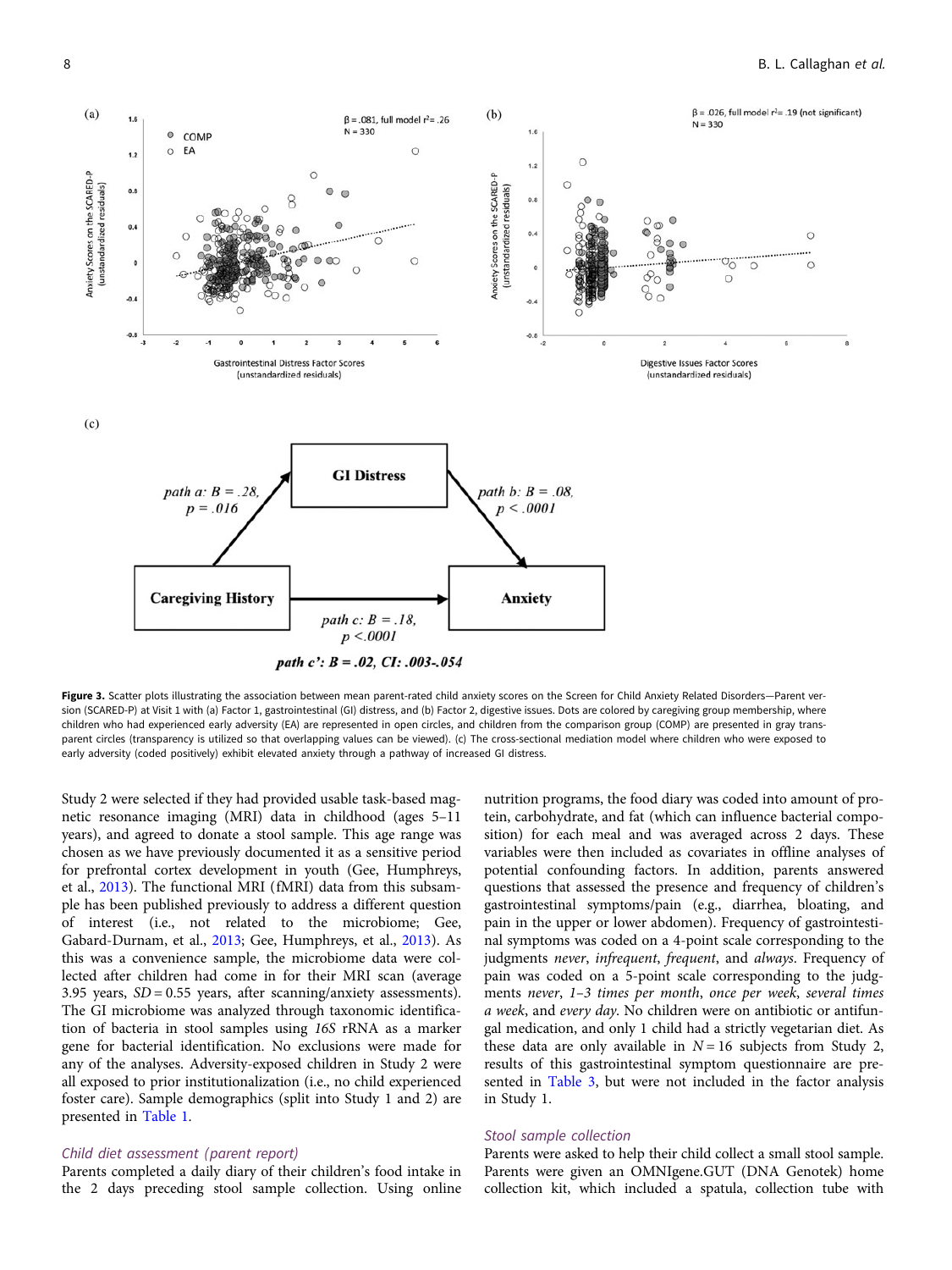<span id="page-7-0"></span>

Figure 3. Scatter plots illustrating the association between mean parent-rated child anxiety scores on the Screen for Child Anxiety Related Disorders-Parent version (SCARED-P) at Visit 1 with (a) Factor 1, gastrointestinal (GI) distress, and (b) Factor 2, digestive issues. Dots are colored by caregiving group membership, where children who had experienced early adversity (EA) are represented in open circles, and children from the comparison group (COMP) are presented in gray transparent circles (transparency is utilized so that overlapping values can be viewed). (c) The cross-sectional mediation model where children who were exposed to early adversity (coded positively) exhibit elevated anxiety through a pathway of increased GI distress.

Study 2 were selected if they had provided usable task-based magnetic resonance imaging (MRI) data in childhood (ages 5–11 years), and agreed to donate a stool sample. This age range was chosen as we have previously documented it as a sensitive period for prefrontal cortex development in youth (Gee, Humphreys, et al., [2013](#page-17-0)). The functional MRI (fMRI) data from this subsample has been published previously to address a different question of interest (i.e., not related to the microbiome; Gee, Gabard-Durnam, et al., [2013;](#page-17-0) Gee, Humphreys, et al., [2013](#page-17-0)). As this was a convenience sample, the microbiome data were collected after children had come in for their MRI scan (average 3.95 years,  $SD = 0.55$  years, after scanning/anxiety assessments). The GI microbiome was analyzed through taxonomic identification of bacteria in stool samples using 16S rRNA as a marker gene for bacterial identification. No exclusions were made for any of the analyses. Adversity-exposed children in Study 2 were all exposed to prior institutionalization (i.e., no child experienced foster care). Sample demographics (split into Study 1 and 2) are presented in [Table 1.](#page-3-0)

#### Child diet assessment (parent report)

Parents completed a daily diary of their children's food intake in the 2 days preceding stool sample collection. Using online nutrition programs, the food diary was coded into amount of protein, carbohydrate, and fat (which can influence bacterial composition) for each meal and was averaged across 2 days. These variables were then included as covariates in offline analyses of potential confounding factors. In addition, parents answered questions that assessed the presence and frequency of children's gastrointestinal symptoms/pain (e.g., diarrhea, bloating, and pain in the upper or lower abdomen). Frequency of gastrointestinal symptoms was coded on a 4-point scale corresponding to the judgments never, infrequent, frequent, and always. Frequency of pain was coded on a 5-point scale corresponding to the judgments never, 1–3 times per month, once per week, several times a week, and every day. No children were on antibiotic or antifungal medication, and only 1 child had a strictly vegetarian diet. As these data are only available in  $N = 16$  subjects from Study 2, results of this gastrointestinal symptom questionnaire are presented in [Table 3](#page-9-0), but were not included in the factor analysis in Study 1.

#### Stool sample collection

Parents were asked to help their child collect a small stool sample. Parents were given an OMNIgene.GUT (DNA Genotek) home collection kit, which included a spatula, collection tube with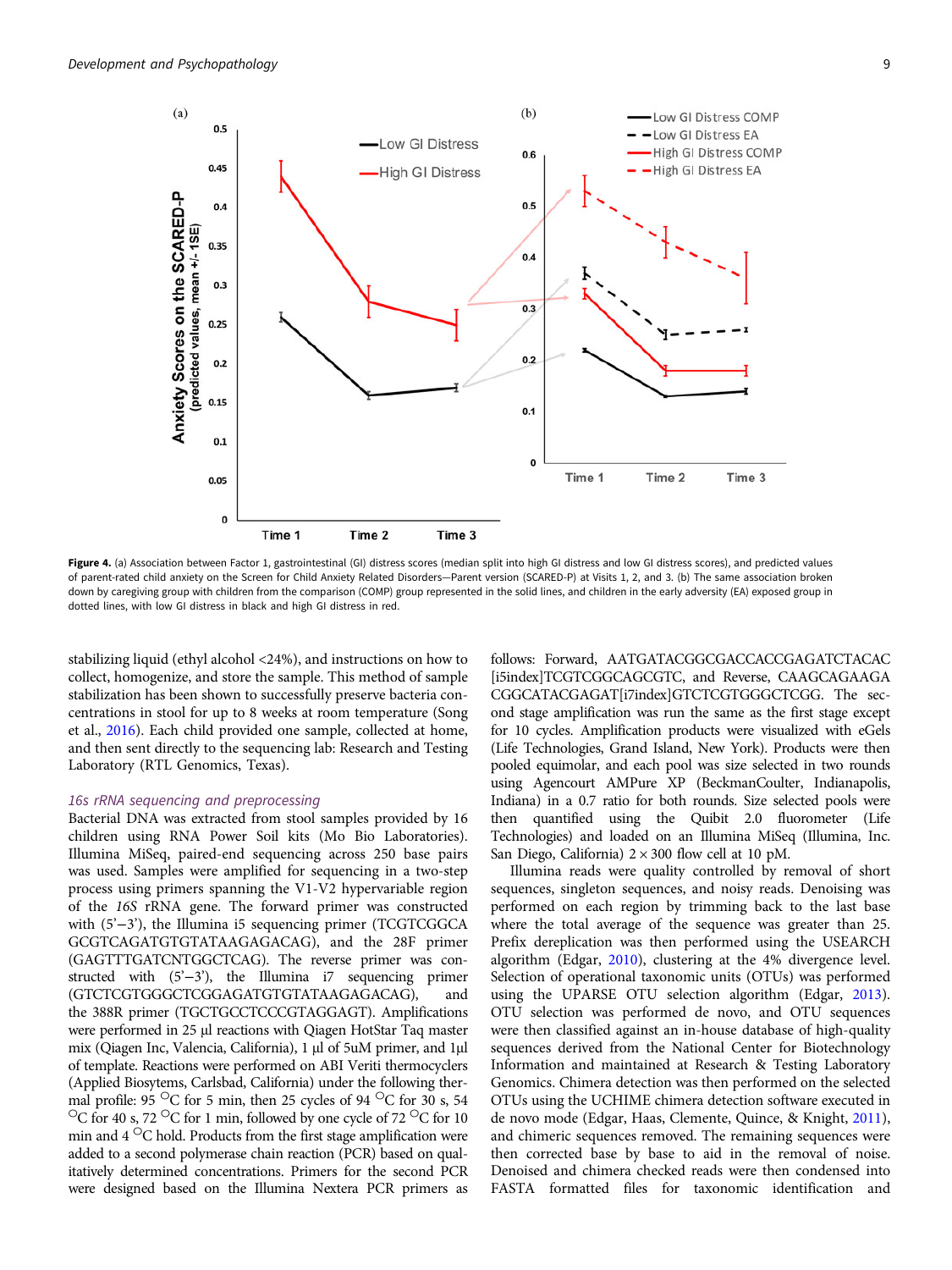<span id="page-8-0"></span>

Figure 4. (a) Association between Factor 1, gastrointestinal (GI) distress scores (median split into high GI distress and low GI distress scores), and predicted values of parent-rated child anxiety on the Screen for Child Anxiety Related Disorders—Parent version (SCARED-P) at Visits 1, 2, and 3. (b) The same association broken down by caregiving group with children from the comparison (COMP) group represented in the solid lines, and children in the early adversity (EA) exposed group in dotted lines, with low GI distress in black and high GI distress in red.

stabilizing liquid (ethyl alcohol <24%), and instructions on how to collect, homogenize, and store the sample. This method of sample stabilization has been shown to successfully preserve bacteria concentrations in stool for up to 8 weeks at room temperature (Song et al., [2016\)](#page-19-0). Each child provided one sample, collected at home, and then sent directly to the sequencing lab: Research and Testing Laboratory (RTL Genomics, Texas).

#### 16s rRNA sequencing and preprocessing

Bacterial DNA was extracted from stool samples provided by 16 children using RNA Power Soil kits (Mo Bio Laboratories). Illumina MiSeq, paired-end sequencing across 250 base pairs was used. Samples were amplified for sequencing in a two-step process using primers spanning the V1-V2 hypervariable region of the 16S rRNA gene. The forward primer was constructed with (5'−3'), the Illumina i5 sequencing primer (TCGTCGGCA GCGTCAGATGTGTATAAGAGACAG), and the 28F primer (GAGTTTGATCNTGGCTCAG). The reverse primer was constructed with (5'−3'), the Illumina i7 sequencing primer (GTCTCGTGGGCTCGGAGATGTGTATAAGAGACAG), and the 388R primer (TGCTGCCTCCCGTAGGAGT). Amplifications were performed in 25 μl reactions with Qiagen HotStar Taq master mix (Qiagen Inc, Valencia, California), 1 μl of 5uM primer, and 1μl of template. Reactions were performed on ABI Veriti thermocyclers (Applied Biosytems, Carlsbad, California) under the following thermal profile: 95 <sup>O</sup>C for 5 min, then 25 cycles of 94 <sup>O</sup>C for 30 s, 54 <sup>O</sup>C for 40 s, 72 <sup>O</sup>C for 1 min, followed by one cycle of 72 <sup>O</sup>C for 10 min and  $4^{\circ}$ C hold. Products from the first stage amplification were added to a second polymerase chain reaction (PCR) based on qualitatively determined concentrations. Primers for the second PCR were designed based on the Illumina Nextera PCR primers as

follows: Forward, AATGATACGGCGACCACCGAGATCTACAC [i5index]TCGTCGGCAGCGTC, and Reverse, CAAGCAGAAGA CGGCATACGAGAT[i7index]GTCTCGTGGGCTCGG. The second stage amplification was run the same as the first stage except for 10 cycles. Amplification products were visualized with eGels (Life Technologies, Grand Island, New York). Products were then pooled equimolar, and each pool was size selected in two rounds using Agencourt AMPure XP (BeckmanCoulter, Indianapolis, Indiana) in a 0.7 ratio for both rounds. Size selected pools were then quantified using the Quibit 2.0 fluorometer (Life Technologies) and loaded on an Illumina MiSeq (Illumina, Inc. San Diego, California)  $2 \times 300$  flow cell at 10 pM.

Illumina reads were quality controlled by removal of short sequences, singleton sequences, and noisy reads. Denoising was performed on each region by trimming back to the last base where the total average of the sequence was greater than 25. Prefix dereplication was then performed using the USEARCH algorithm (Edgar, [2010\)](#page-17-0), clustering at the 4% divergence level. Selection of operational taxonomic units (OTUs) was performed using the UPARSE OTU selection algorithm (Edgar, [2013](#page-17-0)). OTU selection was performed de novo, and OTU sequences were then classified against an in-house database of high-quality sequences derived from the National Center for Biotechnology Information and maintained at Research & Testing Laboratory Genomics. Chimera detection was then performed on the selected OTUs using the UCHIME chimera detection software executed in de novo mode (Edgar, Haas, Clemente, Quince, & Knight, [2011](#page-17-0)), and chimeric sequences removed. The remaining sequences were then corrected base by base to aid in the removal of noise. Denoised and chimera checked reads were then condensed into FASTA formatted files for taxonomic identification and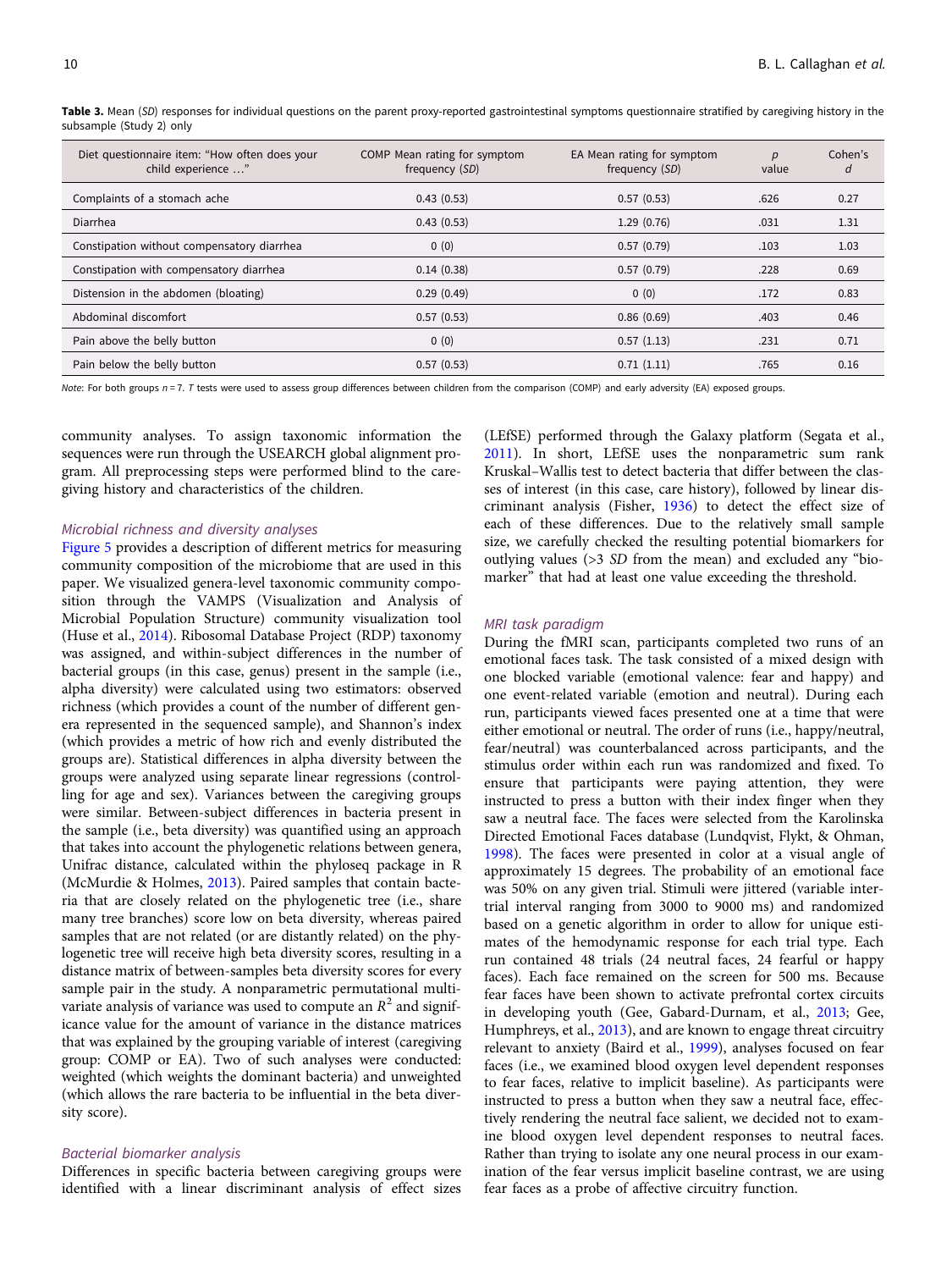| Diet questionnaire item: "How often does your<br>child experience " | COMP Mean rating for symptom<br>frequency (SD) | EA Mean rating for symptom<br>frequency (SD) | $\boldsymbol{D}$<br>value | Cohen's<br>d |
|---------------------------------------------------------------------|------------------------------------------------|----------------------------------------------|---------------------------|--------------|
| Complaints of a stomach ache                                        | 0.43(0.53)                                     | 0.57(0.53)                                   | .626                      | 0.27         |
| Diarrhea                                                            | 0.43(0.53)                                     | 1.29(0.76)                                   | .031                      | 1.31         |
| Constipation without compensatory diarrhea                          | 0(0)                                           | 0.57(0.79)                                   | .103                      | 1.03         |
| Constipation with compensatory diarrhea                             | 0.14(0.38)                                     | 0.57(0.79)                                   | .228                      | 0.69         |
| Distension in the abdomen (bloating)                                | 0.29(0.49)                                     | 0(0)                                         | .172                      | 0.83         |
| Abdominal discomfort                                                | 0.57(0.53)                                     | 0.86(0.69)                                   | .403                      | 0.46         |
| Pain above the belly button                                         | 0(0)                                           | 0.57(1.13)                                   | .231                      | 0.71         |
| Pain below the belly button                                         | 0.57(0.53)                                     | 0.71(1.11)                                   | .765                      | 0.16         |

<span id="page-9-0"></span>Table 3. Mean (SD) responses for individual questions on the parent proxy-reported gastrointestinal symptoms questionnaire stratified by caregiving history in the subsample (Study 2) only

Note: For both groups n = 7. T tests were used to assess group differences between children from the comparison (COMP) and early adversity (EA) exposed groups.

community analyses. To assign taxonomic information the sequences were run through the USEARCH global alignment program. All preprocessing steps were performed blind to the caregiving history and characteristics of the children.

#### Microbial richness and diversity analyses

[Figure 5](#page-10-0) provides a description of different metrics for measuring community composition of the microbiome that are used in this paper. We visualized genera-level taxonomic community composition through the VAMPS (Visualization and Analysis of Microbial Population Structure) community visualization tool (Huse et al., [2014\)](#page-18-0). Ribosomal Database Project (RDP) taxonomy was assigned, and within-subject differences in the number of bacterial groups (in this case, genus) present in the sample (i.e., alpha diversity) were calculated using two estimators: observed richness (which provides a count of the number of different genera represented in the sequenced sample), and Shannon's index (which provides a metric of how rich and evenly distributed the groups are). Statistical differences in alpha diversity between the groups were analyzed using separate linear regressions (controlling for age and sex). Variances between the caregiving groups were similar. Between-subject differences in bacteria present in the sample (i.e., beta diversity) was quantified using an approach that takes into account the phylogenetic relations between genera, Unifrac distance, calculated within the phyloseq package in R (McMurdie & Holmes, [2013\)](#page-18-0). Paired samples that contain bacteria that are closely related on the phylogenetic tree (i.e., share many tree branches) score low on beta diversity, whereas paired samples that are not related (or are distantly related) on the phylogenetic tree will receive high beta diversity scores, resulting in a distance matrix of between-samples beta diversity scores for every sample pair in the study. A nonparametric permutational multivariate analysis of variance was used to compute an  $R^2$  and significance value for the amount of variance in the distance matrices that was explained by the grouping variable of interest (caregiving group: COMP or EA). Two of such analyses were conducted: weighted (which weights the dominant bacteria) and unweighted (which allows the rare bacteria to be influential in the beta diversity score).

#### Bacterial biomarker analysis

Differences in specific bacteria between caregiving groups were identified with a linear discriminant analysis of effect sizes (LEfSE) performed through the Galaxy platform (Segata et al., [2011](#page-19-0)). In short, LEfSE uses the nonparametric sum rank Kruskal–Wallis test to detect bacteria that differ between the classes of interest (in this case, care history), followed by linear discriminant analysis (Fisher, [1936](#page-17-0)) to detect the effect size of each of these differences. Due to the relatively small sample size, we carefully checked the resulting potential biomarkers for outlying values (>3 SD from the mean) and excluded any "biomarker" that had at least one value exceeding the threshold.

#### MRI task paradigm

During the fMRI scan, participants completed two runs of an emotional faces task. The task consisted of a mixed design with one blocked variable (emotional valence: fear and happy) and one event-related variable (emotion and neutral). During each run, participants viewed faces presented one at a time that were either emotional or neutral. The order of runs (i.e., happy/neutral, fear/neutral) was counterbalanced across participants, and the stimulus order within each run was randomized and fixed. To ensure that participants were paying attention, they were instructed to press a button with their index finger when they saw a neutral face. The faces were selected from the Karolinska Directed Emotional Faces database (Lundqvist, Flykt, & Ohman, [1998](#page-18-0)). The faces were presented in color at a visual angle of approximately 15 degrees. The probability of an emotional face was 50% on any given trial. Stimuli were jittered (variable intertrial interval ranging from 3000 to 9000 ms) and randomized based on a genetic algorithm in order to allow for unique estimates of the hemodynamic response for each trial type. Each run contained 48 trials (24 neutral faces, 24 fearful or happy faces). Each face remained on the screen for 500 ms. Because fear faces have been shown to activate prefrontal cortex circuits in developing youth (Gee, Gabard-Durnam, et al., [2013;](#page-17-0) Gee, Humphreys, et al., [2013](#page-17-0)), and are known to engage threat circuitry relevant to anxiety (Baird et al., [1999\)](#page-17-0), analyses focused on fear faces (i.e., we examined blood oxygen level dependent responses to fear faces, relative to implicit baseline). As participants were instructed to press a button when they saw a neutral face, effectively rendering the neutral face salient, we decided not to examine blood oxygen level dependent responses to neutral faces. Rather than trying to isolate any one neural process in our examination of the fear versus implicit baseline contrast, we are using fear faces as a probe of affective circuitry function.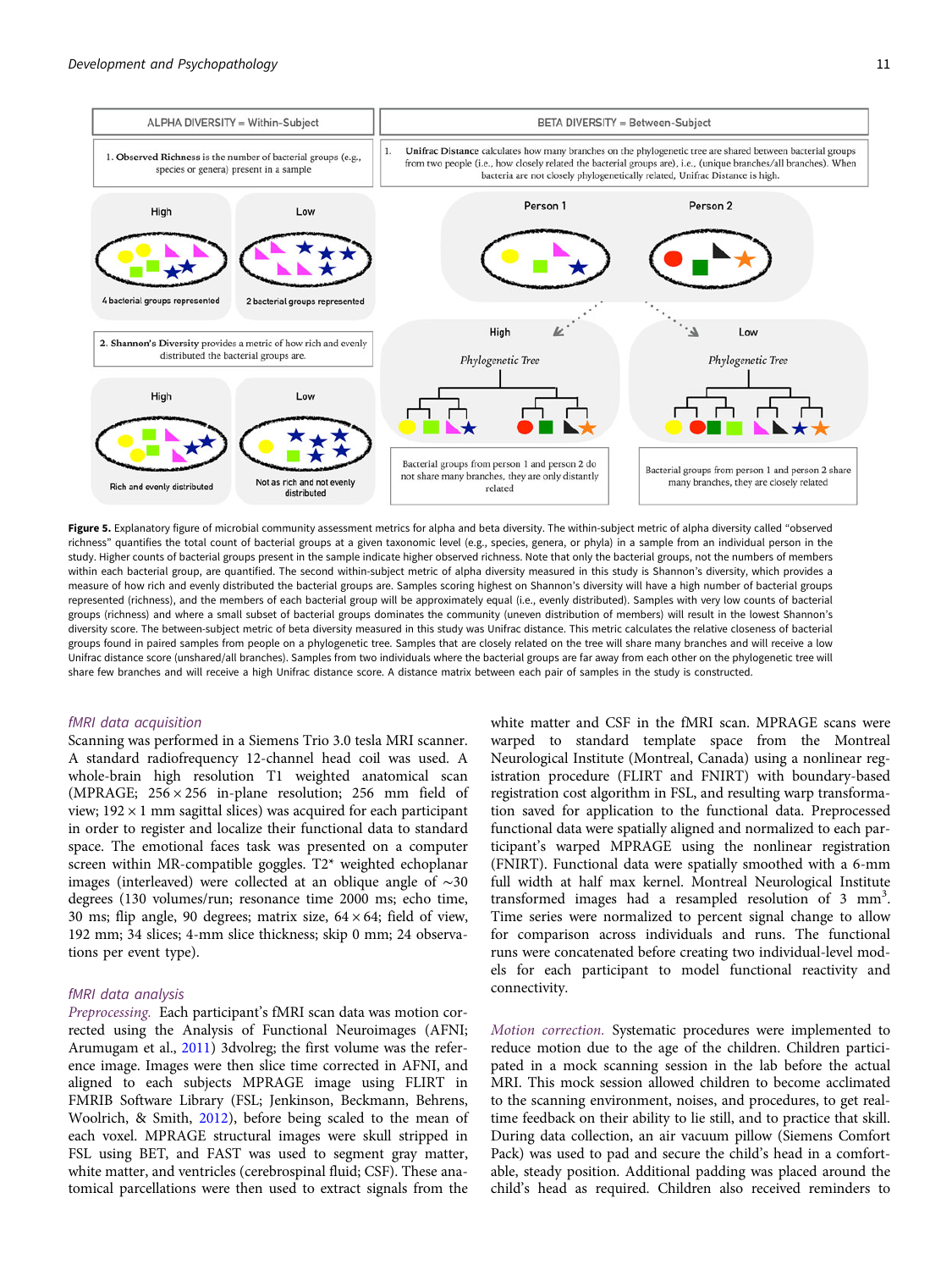<span id="page-10-0"></span>

Figure 5. Explanatory figure of microbial community assessment metrics for alpha and beta diversity. The within-subject metric of alpha diversity called "observed richness" quantifies the total count of bacterial groups at a given taxonomic level (e.g., species, genera, or phyla) in a sample from an individual person in the study. Higher counts of bacterial groups present in the sample indicate higher observed richness. Note that only the bacterial groups, not the numbers of members within each bacterial group, are quantified. The second within-subject metric of alpha diversity measured in this study is Shannon's diversity, which provides a measure of how rich and evenly distributed the bacterial groups are. Samples scoring highest on Shannon's diversity will have a high number of bacterial groups represented (richness), and the members of each bacterial group will be approximately equal (i.e., evenly distributed). Samples with very low counts of bacterial groups (richness) and where a small subset of bacterial groups dominates the community (uneven distribution of members) will result in the lowest Shannon's diversity score. The between-subject metric of beta diversity measured in this study was Unifrac distance. This metric calculates the relative closeness of bacterial groups found in paired samples from people on a phylogenetic tree. Samples that are closely related on the tree will share many branches and will receive a low Unifrac distance score (unshared/all branches). Samples from two individuals where the bacterial groups are far away from each other on the phylogenetic tree will share few branches and will receive a high Unifrac distance score. A distance matrix between each pair of samples in the study is constructed.

#### fMRI data acquisition

Scanning was performed in a Siemens Trio 3.0 tesla MRI scanner. A standard radiofrequency 12-channel head coil was used. A whole-brain high resolution T1 weighted anatomical scan (MPRAGE;  $256 \times 256$  in-plane resolution; 256 mm field of view;  $192 \times 1$  mm sagittal slices) was acquired for each participant in order to register and localize their functional data to standard space. The emotional faces task was presented on a computer screen within MR-compatible goggles. T2\* weighted echoplanar images (interleaved) were collected at an oblique angle of ∼30 degrees (130 volumes/run; resonance time 2000 ms; echo time, 30 ms; flip angle, 90 degrees; matrix size,  $64 \times 64$ ; field of view, 192 mm; 34 slices; 4-mm slice thickness; skip 0 mm; 24 observations per event type).

#### fMRI data analysis

Preprocessing. Each participant's fMRI scan data was motion corrected using the Analysis of Functional Neuroimages (AFNI; Arumugam et al., [2011\)](#page-17-0) 3dvolreg; the first volume was the reference image. Images were then slice time corrected in AFNI, and aligned to each subjects MPRAGE image using FLIRT in FMRIB Software Library (FSL; Jenkinson, Beckmann, Behrens, Woolrich, & Smith, [2012](#page-18-0)), before being scaled to the mean of each voxel. MPRAGE structural images were skull stripped in FSL using BET, and FAST was used to segment gray matter, white matter, and ventricles (cerebrospinal fluid; CSF). These anatomical parcellations were then used to extract signals from the

white matter and CSF in the fMRI scan. MPRAGE scans were warped to standard template space from the Montreal Neurological Institute (Montreal, Canada) using a nonlinear registration procedure (FLIRT and FNIRT) with boundary-based registration cost algorithm in FSL, and resulting warp transformation saved for application to the functional data. Preprocessed functional data were spatially aligned and normalized to each participant's warped MPRAGE using the nonlinear registration (FNIRT). Functional data were spatially smoothed with a 6-mm full width at half max kernel. Montreal Neurological Institute transformed images had a resampled resolution of  $3 \text{ mm}^3$ . Time series were normalized to percent signal change to allow for comparison across individuals and runs. The functional runs were concatenated before creating two individual-level models for each participant to model functional reactivity and connectivity.

Motion correction. Systematic procedures were implemented to reduce motion due to the age of the children. Children participated in a mock scanning session in the lab before the actual MRI. This mock session allowed children to become acclimated to the scanning environment, noises, and procedures, to get realtime feedback on their ability to lie still, and to practice that skill. During data collection, an air vacuum pillow (Siemens Comfort Pack) was used to pad and secure the child's head in a comfortable, steady position. Additional padding was placed around the child's head as required. Children also received reminders to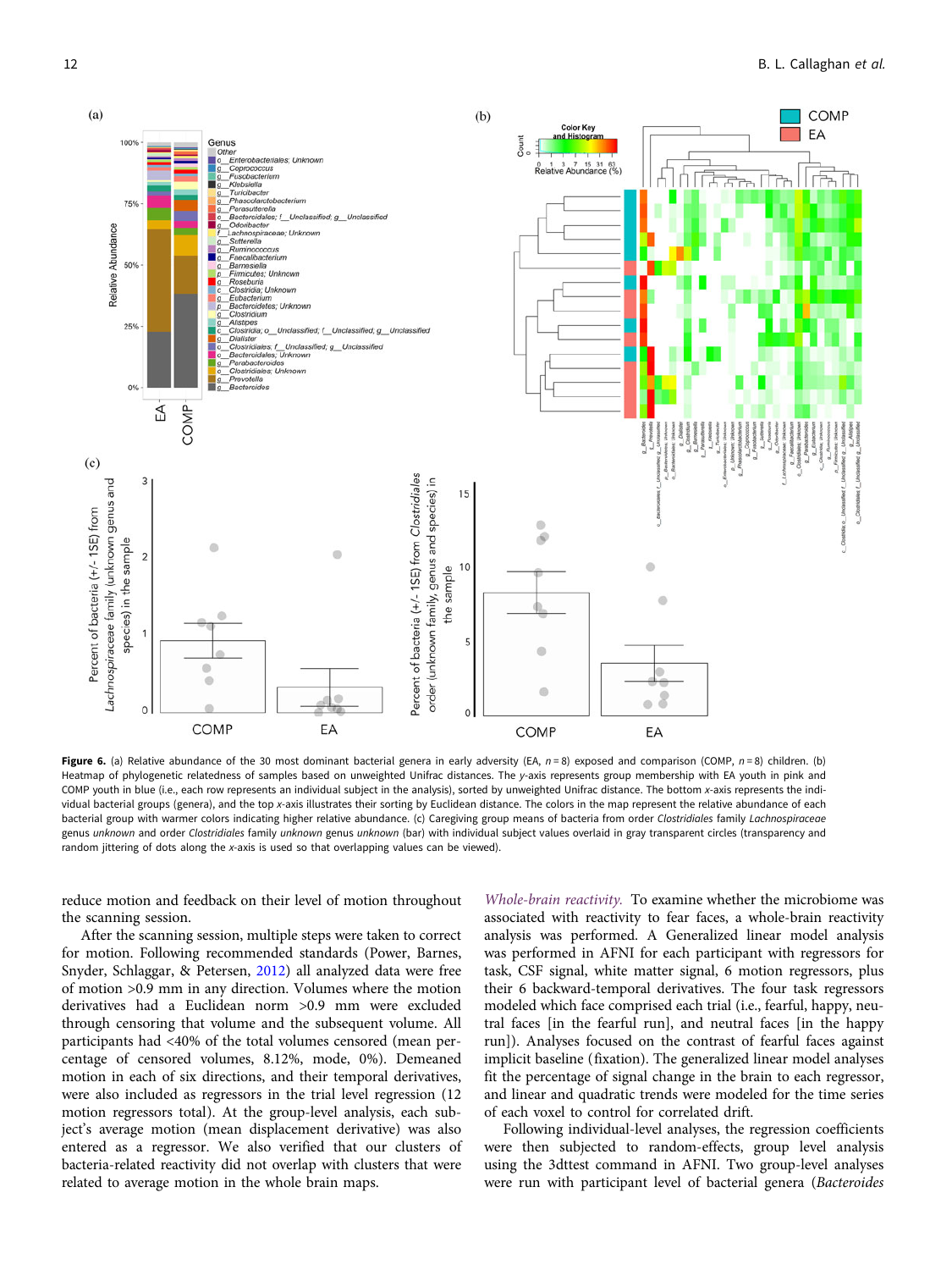<span id="page-11-0"></span>

Figure 6. (a) Relative abundance of the 30 most dominant bacterial genera in early adversity (EA,  $n = 8$ ) exposed and comparison (COMP,  $n = 8$ ) children. (b) Heatmap of phylogenetic relatedness of samples based on unweighted Unifrac distances. The y-axis represents group membership with EA youth in pink and COMP youth in blue (i.e., each row represents an individual subject in the analysis), sorted by unweighted Unifrac distance. The bottom x-axis represents the individual bacterial groups (genera), and the top x-axis illustrates their sorting by Euclidean distance. The colors in the map represent the relative abundance of each bacterial group with warmer colors indicating higher relative abundance. (c) Caregiving group means of bacteria from order Clostridiales family Lachnospiraceae genus unknown and order Clostridiales family unknown genus unknown (bar) with individual subject values overlaid in gray transparent circles (transparency and random jittering of dots along the x-axis is used so that overlapping values can be viewed).

reduce motion and feedback on their level of motion throughout the scanning session.

After the scanning session, multiple steps were taken to correct for motion. Following recommended standards (Power, Barnes, Snyder, Schlaggar, & Petersen, [2012](#page-18-0)) all analyzed data were free of motion >0.9 mm in any direction. Volumes where the motion derivatives had a Euclidean norm >0.9 mm were excluded through censoring that volume and the subsequent volume. All participants had <40% of the total volumes censored (mean percentage of censored volumes, 8.12%, mode, 0%). Demeaned motion in each of six directions, and their temporal derivatives, were also included as regressors in the trial level regression (12 motion regressors total). At the group-level analysis, each subject's average motion (mean displacement derivative) was also entered as a regressor. We also verified that our clusters of bacteria-related reactivity did not overlap with clusters that were related to average motion in the whole brain maps.

Whole-brain reactivity. To examine whether the microbiome was associated with reactivity to fear faces, a whole-brain reactivity analysis was performed. A Generalized linear model analysis was performed in AFNI for each participant with regressors for task, CSF signal, white matter signal, 6 motion regressors, plus their 6 backward-temporal derivatives. The four task regressors modeled which face comprised each trial (i.e., fearful, happy, neutral faces [in the fearful run], and neutral faces [in the happy run]). Analyses focused on the contrast of fearful faces against implicit baseline (fixation). The generalized linear model analyses fit the percentage of signal change in the brain to each regressor, and linear and quadratic trends were modeled for the time series of each voxel to control for correlated drift.

Following individual-level analyses, the regression coefficients were then subjected to random-effects, group level analysis using the 3dttest command in AFNI. Two group-level analyses were run with participant level of bacterial genera (Bacteroides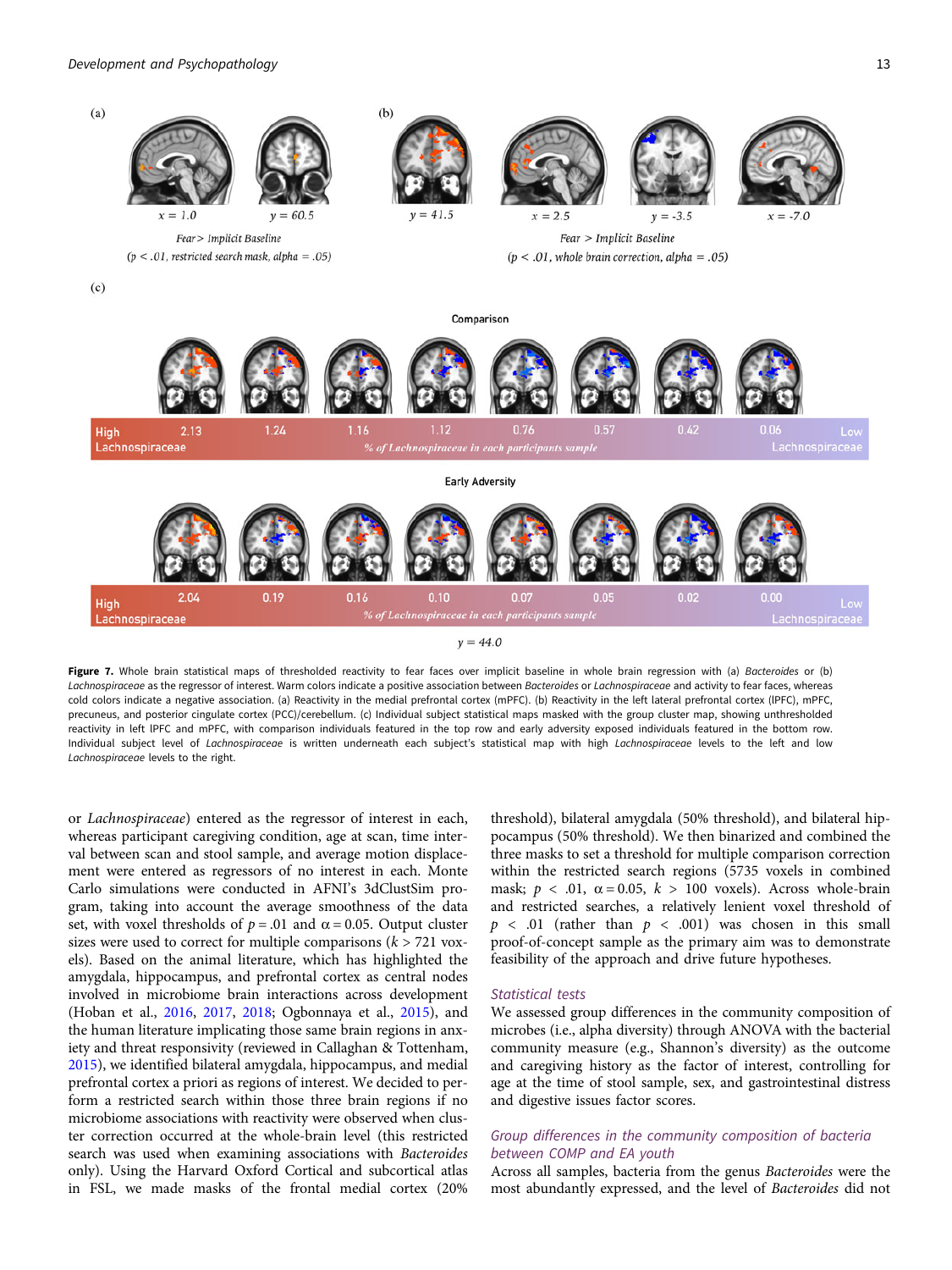<span id="page-12-0"></span>

Figure 7. Whole brain statistical maps of thresholded reactivity to fear faces over implicit baseline in whole brain regression with (a) Bacteroides or (b) Lachnospiraceae as the regressor of interest. Warm colors indicate a positive association between Bacteroides or Lachnospiraceae and activity to fear faces, whereas cold colors indicate a negative association. (a) Reactivity in the medial prefrontal cortex (mPFC). (b) Reactivity in the left lateral prefrontal cortex (lPFC), mPFC, precuneus, and posterior cingulate cortex (PCC)/cerebellum. (c) Individual subject statistical maps masked with the group cluster map, showing unthresholded reactivity in left lPFC and mPFC, with comparison individuals featured in the top row and early adversity exposed individuals featured in the bottom row. Individual subject level of Lachnospiraceae is written underneath each subject's statistical map with high Lachnospiraceae levels to the left and low Lachnospiraceae levels to the right.

or Lachnospiraceae) entered as the regressor of interest in each, whereas participant caregiving condition, age at scan, time interval between scan and stool sample, and average motion displacement were entered as regressors of no interest in each. Monte Carlo simulations were conducted in AFNI's 3dClustSim program, taking into account the average smoothness of the data set, with voxel thresholds of  $p = .01$  and  $\alpha = 0.05$ . Output cluster sizes were used to correct for multiple comparisons  $(k > 721$  voxels). Based on the animal literature, which has highlighted the amygdala, hippocampus, and prefrontal cortex as central nodes involved in microbiome brain interactions across development (Hoban et al., [2016](#page-18-0), [2017](#page-18-0), [2018;](#page-18-0) Ogbonnaya et al., [2015](#page-18-0)), and the human literature implicating those same brain regions in anxiety and threat responsivity (reviewed in Callaghan & Tottenham, [2015\)](#page-17-0), we identified bilateral amygdala, hippocampus, and medial prefrontal cortex a priori as regions of interest. We decided to perform a restricted search within those three brain regions if no microbiome associations with reactivity were observed when cluster correction occurred at the whole-brain level (this restricted search was used when examining associations with Bacteroides only). Using the Harvard Oxford Cortical and subcortical atlas in FSL, we made masks of the frontal medial cortex (20%

threshold), bilateral amygdala (50% threshold), and bilateral hippocampus (50% threshold). We then binarized and combined the three masks to set a threshold for multiple comparison correction within the restricted search regions (5735 voxels in combined mask;  $p < .01$ ,  $\alpha = 0.05$ ,  $k > 100$  voxels). Across whole-brain and restricted searches, a relatively lenient voxel threshold of  $p \,$  < .01 (rather than  $p \,$  < .001) was chosen in this small proof-of-concept sample as the primary aim was to demonstrate feasibility of the approach and drive future hypotheses.

#### Statistical tests

We assessed group differences in the community composition of microbes (i.e., alpha diversity) through ANOVA with the bacterial community measure (e.g., Shannon's diversity) as the outcome and caregiving history as the factor of interest, controlling for age at the time of stool sample, sex, and gastrointestinal distress and digestive issues factor scores.

#### Group differences in the community composition of bacteria between COMP and EA youth

Across all samples, bacteria from the genus Bacteroides were the most abundantly expressed, and the level of Bacteroides did not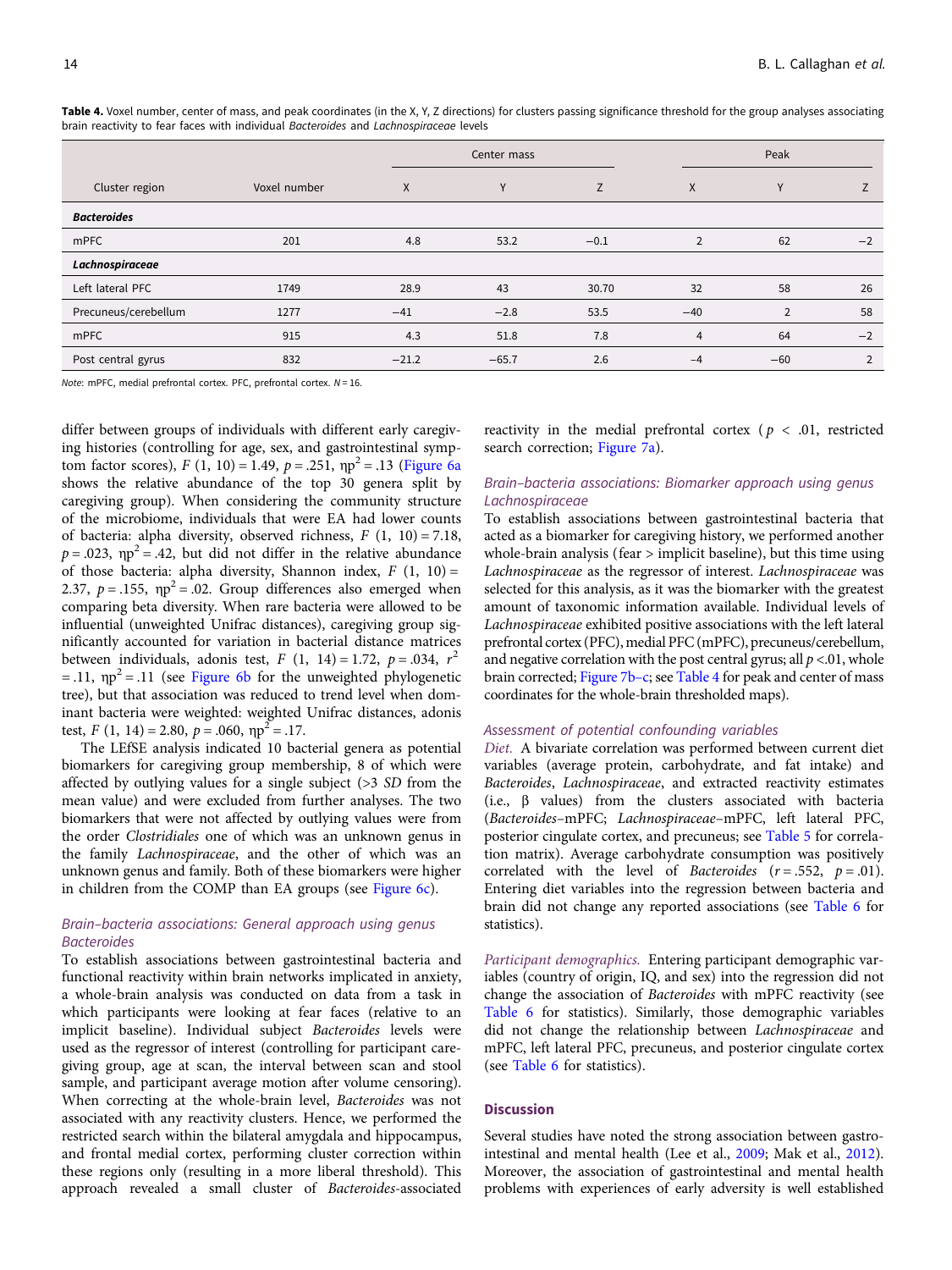|                      |              |              | Center mass |        |                | Peak           |                |  |
|----------------------|--------------|--------------|-------------|--------|----------------|----------------|----------------|--|
| Cluster region       | Voxel number | $\mathsf{X}$ | Y           | Z      | $\mathsf{X}$   | Y              | Z              |  |
| <b>Bacteroides</b>   |              |              |             |        |                |                |                |  |
| mPFC                 | 201          | 4.8          | 53.2        | $-0.1$ | $\overline{2}$ | 62             | $-2$           |  |
| Lachnospiraceae      |              |              |             |        |                |                |                |  |
| Left lateral PFC     | 1749         | 28.9         | 43          | 30.70  | 32             | 58             | 26             |  |
| Precuneus/cerebellum | 1277         | $-41$        | $-2.8$      | 53.5   | $-40$          | $\overline{2}$ | 58             |  |
| mPFC                 | 915          | 4.3          | 51.8        | 7.8    | $\overline{4}$ | 64             | $-2$           |  |
| Post central gyrus   | 832          | $-21.2$      | $-65.7$     | 2.6    | $-4$           | $-60$          | $\overline{2}$ |  |

Table 4. Voxel number, center of mass, and peak coordinates (in the X, Y, Z directions) for clusters passing significance threshold for the group analyses associating brain reactivity to fear faces with individual Bacteroides and Lachnospiraceae levels

Note: mPFC, medial prefrontal cortex. PFC, prefrontal cortex.  $N = 16$ .

differ between groups of individuals with different early caregiving histories (controlling for age, sex, and gastrointestinal symptom factor scores),  $F(1, 10) = 1.49$ ,  $p = .251$ ,  $np^2 = .13$  ([Figure 6a](#page-11-0) shows the relative abundance of the top 30 genera split by caregiving group). When considering the community structure of the microbiome, individuals that were EA had lower counts of bacteria: alpha diversity, observed richness,  $F(1, 10) = 7.18$ ,  $p = .023$ ,  $np^2 = .42$ , but did not differ in the relative abundance of those bacteria: alpha diversity, Shannon index,  $F(1, 10) =$ 2.37,  $p = .155$ ,  $np^2 = .02$ . Group differences also emerged when comparing beta diversity. When rare bacteria were allowed to be influential (unweighted Unifrac distances), caregiving group significantly accounted for variation in bacterial distance matrices between individuals, adonis test,  $F(1, 14) = 1.72$ ,  $p = .034$ ,  $r<sup>2</sup>$  $=$  .11,  $np^2 =$  .11 (see [Figure 6b](#page-11-0) for the unweighted phylogenetic tree), but that association was reduced to trend level when dominant bacteria were weighted: weighted Unifrac distances, adonis test,  $F(1, 14) = 2.80$ ,  $p = .060$ ,  $np^2 = .17$ .

The LEfSE analysis indicated 10 bacterial genera as potential biomarkers for caregiving group membership, 8 of which were affected by outlying values for a single subject (>3 SD from the mean value) and were excluded from further analyses. The two biomarkers that were not affected by outlying values were from the order Clostridiales one of which was an unknown genus in the family Lachnospiraceae, and the other of which was an unknown genus and family. Both of these biomarkers were higher in children from the COMP than EA groups (see [Figure 6c](#page-11-0)).

## Brain–bacteria associations: General approach using genus Bacteroides

To establish associations between gastrointestinal bacteria and functional reactivity within brain networks implicated in anxiety, a whole-brain analysis was conducted on data from a task in which participants were looking at fear faces (relative to an implicit baseline). Individual subject Bacteroides levels were used as the regressor of interest (controlling for participant caregiving group, age at scan, the interval between scan and stool sample, and participant average motion after volume censoring). When correcting at the whole-brain level, Bacteroides was not associated with any reactivity clusters. Hence, we performed the restricted search within the bilateral amygdala and hippocampus, and frontal medial cortex, performing cluster correction within these regions only (resulting in a more liberal threshold). This approach revealed a small cluster of Bacteroides-associated

reactivity in the medial prefrontal cortex ( $p < .01$ , restricted search correction; [Figure 7a\)](#page-12-0).

## Brain–bacteria associations: Biomarker approach using genus Lachnospiraceae

To establish associations between gastrointestinal bacteria that acted as a biomarker for caregiving history, we performed another whole-brain analysis (fear > implicit baseline), but this time using Lachnospiraceae as the regressor of interest. Lachnospiraceae was selected for this analysis, as it was the biomarker with the greatest amount of taxonomic information available. Individual levels of Lachnospiraceae exhibited positive associations with the left lateral prefrontal cortex (PFC), medial PFC (mPFC), precuneus/cerebellum, and negative correlation with the post central gyrus; all  $p < 01$ , whole brain corrected; [Figure 7b](#page-12-0)–c; see Table 4 for peak and center of mass coordinates for the whole-brain thresholded maps).

## Assessment of potential confounding variables

Diet. A bivariate correlation was performed between current diet variables (average protein, carbohydrate, and fat intake) and Bacteroides, Lachnospiraceae, and extracted reactivity estimates (i.e., β values) from the clusters associated with bacteria (Bacteroides–mPFC; Lachnospiraceae–mPFC, left lateral PFC, posterior cingulate cortex, and precuneus; see [Table 5](#page-14-0) for correlation matrix). Average carbohydrate consumption was positively correlated with the level of *Bacteroides*  $(r = .552, p = .01)$ . Entering diet variables into the regression between bacteria and brain did not change any reported associations (see [Table 6](#page-15-0) for statistics).

Participant demographics. Entering participant demographic variables (country of origin, IQ, and sex) into the regression did not change the association of Bacteroides with mPFC reactivity (see [Table 6](#page-15-0) for statistics). Similarly, those demographic variables did not change the relationship between Lachnospiraceae and mPFC, left lateral PFC, precuneus, and posterior cingulate cortex (see [Table 6](#page-15-0) for statistics).

## Discussion

Several studies have noted the strong association between gastrointestinal and mental health (Lee et al., [2009](#page-18-0); Mak et al., [2012](#page-18-0)). Moreover, the association of gastrointestinal and mental health problems with experiences of early adversity is well established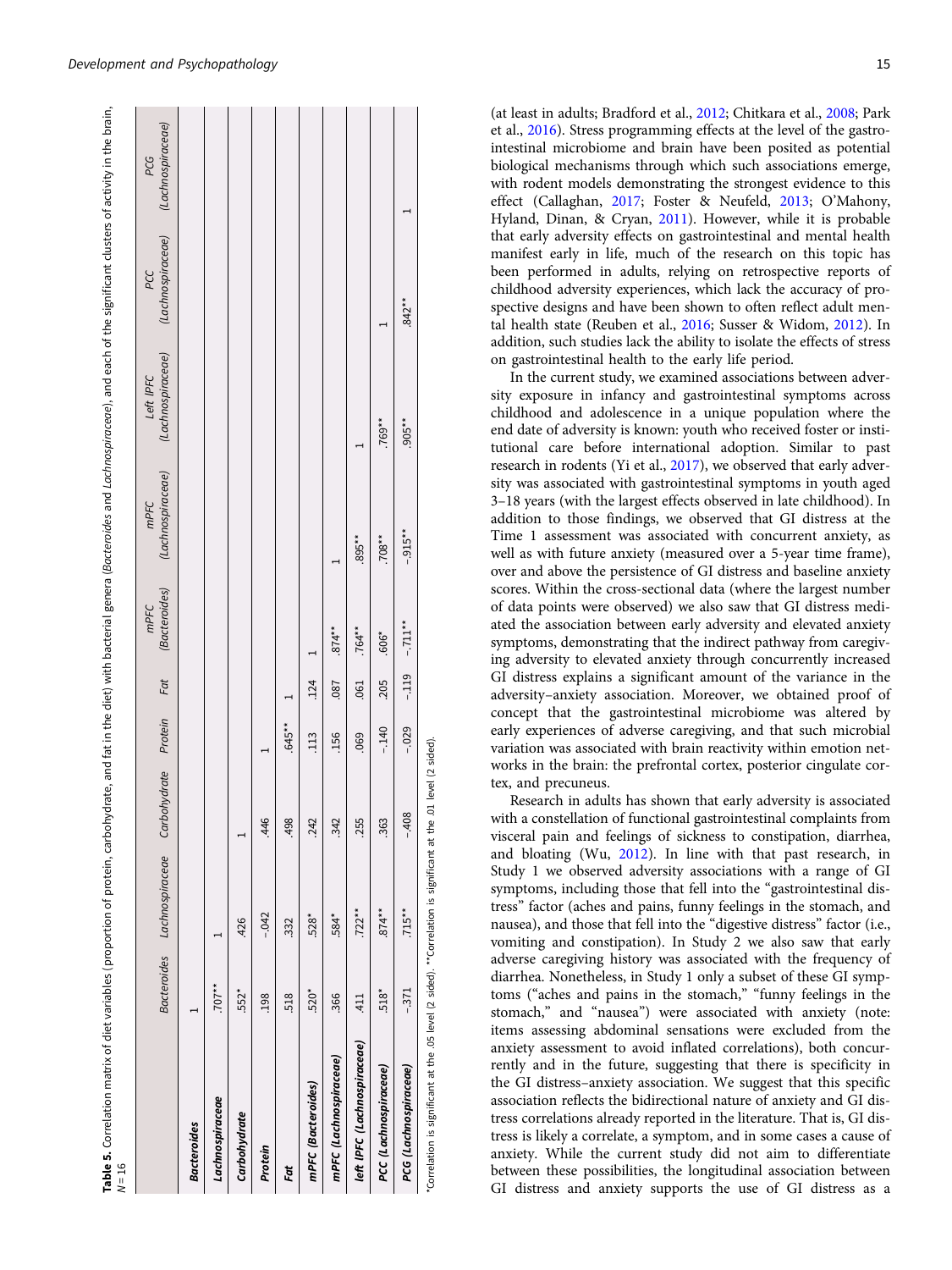<span id="page-14-0"></span>

| Table 5. Correlation matrix of diet variables (proportion of protein, carbohydrate, and fat in the diet) with bacterial genera (Bocteroides and Lochnospirocece), and each of the significant clusters of activity in the brai<br>$N = 16$ |          |                             |                      |          |        |                       |                           |                                |                                            |     |
|--------------------------------------------------------------------------------------------------------------------------------------------------------------------------------------------------------------------------------------------|----------|-----------------------------|----------------------|----------|--------|-----------------------|---------------------------|--------------------------------|--------------------------------------------|-----|
|                                                                                                                                                                                                                                            |          | Bacteroides Lachnospiraceae | Carbohydrate Protein |          | Fat    | (Bacteroides)<br>mPFC | (Lachnospiraceae)<br>mPFC | (Lachnospiraceae)<br>Left IPFC | (Lachnospiraceae) (Lachnospiraceae)<br>PCC | PCG |
| <b>Bacteroides</b>                                                                                                                                                                                                                         |          |                             |                      |          |        |                       |                           |                                |                                            |     |
| Lachnospiraceae                                                                                                                                                                                                                            | $.707**$ |                             |                      |          |        |                       |                           |                                |                                            |     |
| Carbohydrate                                                                                                                                                                                                                               | $.552*$  | .426                        |                      |          |        |                       |                           |                                |                                            |     |
| Protein                                                                                                                                                                                                                                    | 198      | $-0.042$                    | .446                 |          |        |                       |                           |                                |                                            |     |
| Fat                                                                                                                                                                                                                                        | 518      | .332                        | 498                  | .645**   |        |                       |                           |                                |                                            |     |
| mPFC (Bacteroides)                                                                                                                                                                                                                         | $520*$   | $.528*$                     | 242                  | 113      | .124   |                       |                           |                                |                                            |     |
| mPFC (Lachnospiraceae)                                                                                                                                                                                                                     | .366     | $.584*$                     | .342                 | .156     | .087   | $.874**$              |                           |                                |                                            |     |
| left IPFC (Lachnospiraceae)                                                                                                                                                                                                                | 411      | $.722**$                    | .255                 | .069     | .061   | $.764***$             | $.895***$                 |                                |                                            |     |
| PCC (Lachnospiraceae)                                                                                                                                                                                                                      | $.518*$  | $.874**$                    | .363                 | $-140$   | .205   | $.606*$               | $.708**$                  | $.769**$                       |                                            |     |
| PCG (Lachnospiraceae)                                                                                                                                                                                                                      | $-371$   | $.715**$                    | $-408$               | $-0.029$ | $-119$ | $-.711**$             | $-.915**$                 | $.905**$                       | $.842**$                                   |     |
| *Correlation is significant at the .05 level (2 sided). **Correlation is significant at the .0.1 level (2 sided).                                                                                                                          |          |                             |                      |          |        |                       |                           |                                |                                            |     |

(at least in adults; Bradford et al., [2012;](#page-17-0) Chitkara et al., [2008;](#page-17-0) Park et al., [2016](#page-18-0)). Stress programming effects at the level of the gastrointestinal microbiome and brain have been posited as potential biological mechanisms through which such associations emerge, with rodent models demonstrating the strongest evidence to this effect (Callaghan, [2017;](#page-17-0) Foster & Neufeld, [2013;](#page-17-0) O'Mahony, Hyland, Dinan, & Cryan, [2011](#page-18-0)). However, while it is probable that early adversity effects on gastrointestinal and mental health manifest early in life, much of the research on this topic has

addition, such studies lack the ability to isolate the effects of stress on gastrointestinal health to the early life period. In the current study, we examined associations between adversity exposure in infancy and gastrointestinal symptoms across childhood and adolescence in a unique population where the end date of adversity is known: youth who received foster or institutional care before international adoption. Similar to past research in rodents (Yi et al., [2017](#page-19-0)), we observed that early adversity was associated with gastrointestinal symptoms in youth aged 3–18 years (with the largest effects observed in late childhood). In addition to those findings, we observed that GI distress at the Time 1 assessment was associated with concurrent anxiety, as well as with future anxiety (measured over a 5-year time frame), over and above the persistence of GI distress and baseline anxiety scores. Within the cross-sectional data (where the largest number of data points were observed) we also saw that GI distress mediated the association between early adversity and elevated anxiety symptoms, demonstrating that the indirect pathway from caregiving adversity to elevated anxiety through concurrently increased GI distress explains a significant amount of the variance in the adversity–anxiety association. Moreover, we obtained proof of concept that the gastrointestinal microbiome was altered by early experiences of adverse caregiving, and that such microbial variation was associated with brain reactivity within emotion networks in the brain: the prefrontal cortex, posterior cingulate cortex, and precuneus.

been performed in adults, relying on retrospective reports of childhood adversity experiences, which lack the accuracy of prospective designs and have been shown to often reflect adult mental health state (Reuben et al., [2016](#page-18-0); Susser & Widom, [2012\)](#page-19-0). In

Research in adults has shown that early adversity is associated with a constellation of functional gastrointestinal complaints from visceral pain and feelings of sickness to constipation, diarrhea, and bloating (Wu, [2012](#page-19-0)). In line with that past research, in Study 1 we observed adversity associations with a range of GI symptoms, including those that fell into the "gastrointestinal distress" factor (aches and pains, funny feelings in the stomach, and nausea), and those that fell into the "digestive distress" factor (i.e., vomiting and constipation). In Study 2 we also saw that early adverse caregiving history was associated with the frequency of diarrhea. Nonetheless, in Study 1 only a subset of these GI symptoms ("aches and pains in the stomach," "funny feelings in the stomach," and "nausea") were associated with anxiety (note: items assessing abdominal sensations were excluded from the anxiety assessment to avoid inflated correlations), both concurrently and in the future, suggesting that there is specificity in the GI distress–anxiety association. We suggest that this specific association reflects the bidirectional nature of anxiety and GI distress correlations already reported in the literature. That is, GI distress is likely a correlate, a symptom, and in some cases a cause of anxiety. While the current study did not aim to differentiate between these possibilities, the longitudinal association between GI distress and anxiety supports the use of GI distress as a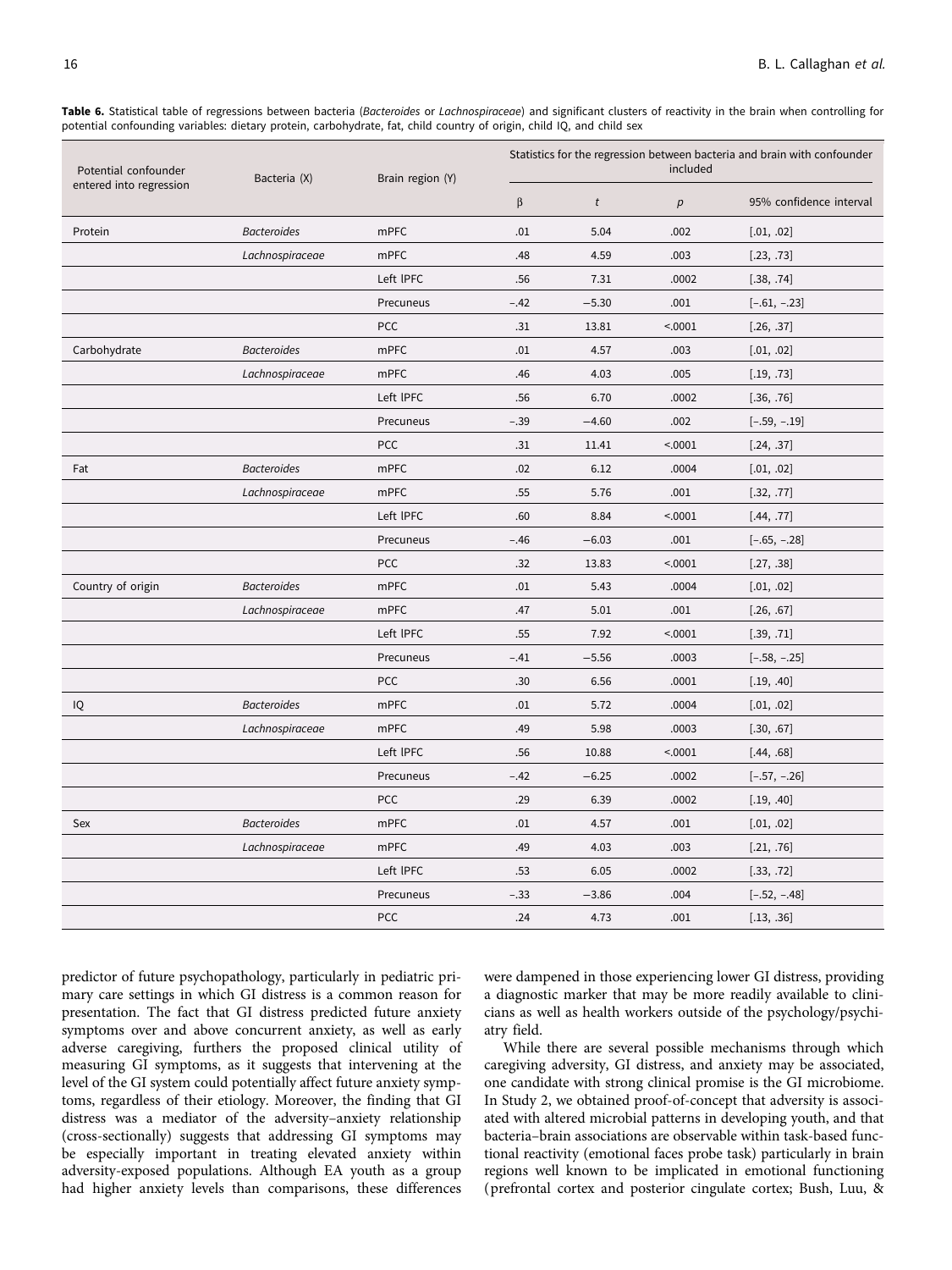| Potential confounder    | Bacteria (X)       | Brain region (Y) | Statistics for the regression between bacteria and brain with confounder<br>included |         |         |                         |
|-------------------------|--------------------|------------------|--------------------------------------------------------------------------------------|---------|---------|-------------------------|
| entered into regression |                    |                  | β                                                                                    | t       | р       | 95% confidence interval |
| Protein                 | <b>Bacteroides</b> | <b>mPFC</b>      | .01                                                                                  | 5.04    | .002    | [.01, .02]              |
|                         | Lachnospiraceae    | <b>mPFC</b>      | .48                                                                                  | 4.59    | .003    | [.23, .73]              |
|                         |                    | Left IPFC        | .56                                                                                  | 7.31    | .0002   | [.38, .74]              |
|                         |                    | Precuneus        | $-.42$                                                                               | $-5.30$ | .001    | $[-.61, -0.23]$         |
|                         |                    | PCC              | .31                                                                                  | 13.81   | < .0001 | [.26, .37]              |
| Carbohydrate            | <b>Bacteroides</b> | mPFC             | .01                                                                                  | 4.57    | .003    | [.01, .02]              |
|                         | Lachnospiraceae    | <b>mPFC</b>      | .46                                                                                  | 4.03    | .005    | [.19, .73]              |
|                         |                    | Left IPFC        | .56                                                                                  | 6.70    | .0002   | [.36, .76]              |
|                         |                    | Precuneus        | $-.39$                                                                               | $-4.60$ | .002    | $[-.59, -.19]$          |
|                         |                    | <b>PCC</b>       | .31                                                                                  | 11.41   | < .0001 | [.24, .37]              |
| Fat                     | <b>Bacteroides</b> | <b>mPFC</b>      | .02                                                                                  | 6.12    | .0004   | [.01, .02]              |
|                         | Lachnospiraceae    | <b>mPFC</b>      | .55                                                                                  | 5.76    | .001    | [.32, .77]              |
|                         |                    | Left IPFC        | .60                                                                                  | 8.84    | < .0001 | [.44, .77]              |
|                         |                    | Precuneus        | $-.46$                                                                               | $-6.03$ | .001    | $[-.65, -.28]$          |
|                         |                    | PCC              | .32                                                                                  | 13.83   | < .0001 | [.27, .38]              |
| Country of origin       | <b>Bacteroides</b> | <b>mPFC</b>      | .01                                                                                  | 5.43    | .0004   | [.01, .02]              |
|                         | Lachnospiraceae    | mPFC             | .47                                                                                  | 5.01    | .001    | [.26, .67]              |
|                         |                    | Left IPFC        | .55                                                                                  | 7.92    | < .0001 | [.39, .71]              |
|                         |                    | Precuneus        | $-.41$                                                                               | $-5.56$ | .0003   | $[-.58, -.25]$          |
|                         |                    | PCC              | .30                                                                                  | 6.56    | .0001   | [.19, .40]              |
| IQ                      | <b>Bacteroides</b> | mPFC             | .01                                                                                  | 5.72    | .0004   | [.01, .02]              |
|                         | Lachnospiraceae    | <b>mPFC</b>      | .49                                                                                  | 5.98    | .0003   | [.30, .67]              |
|                         |                    | Left IPFC        | .56                                                                                  | 10.88   | < .0001 | [.44, .68]              |
|                         |                    | Precuneus        | $-.42$                                                                               | $-6.25$ | .0002   | $[-.57, -.26]$          |
|                         |                    | <b>PCC</b>       | .29                                                                                  | 6.39    | .0002   | [.19, .40]              |
| Sex                     | <b>Bacteroides</b> | <b>mPFC</b>      | .01                                                                                  | 4.57    | .001    | [.01, .02]              |
|                         | Lachnospiraceae    | <b>mPFC</b>      | .49                                                                                  | 4.03    | .003    | [.21, .76]              |
|                         |                    | Left IPFC        | .53                                                                                  | 6.05    | .0002   | [.33, .72]              |
|                         |                    | Precuneus        | $-.33$                                                                               | $-3.86$ | .004    | $[-.52, -.48]$          |
|                         |                    | <b>PCC</b>       | .24                                                                                  | 4.73    | .001    | [.13, .36]              |

<span id="page-15-0"></span>Table 6. Statistical table of regressions between bacteria (Bacteroides or Lachnospiraceae) and significant clusters of reactivity in the brain when controlling for potential confounding variables: dietary protein, carbohydrate, fat, child country of origin, child IQ, and child sex

predictor of future psychopathology, particularly in pediatric primary care settings in which GI distress is a common reason for presentation. The fact that GI distress predicted future anxiety symptoms over and above concurrent anxiety, as well as early adverse caregiving, furthers the proposed clinical utility of measuring GI symptoms, as it suggests that intervening at the level of the GI system could potentially affect future anxiety symptoms, regardless of their etiology. Moreover, the finding that GI distress was a mediator of the adversity–anxiety relationship (cross-sectionally) suggests that addressing GI symptoms may be especially important in treating elevated anxiety within adversity-exposed populations. Although EA youth as a group had higher anxiety levels than comparisons, these differences were dampened in those experiencing lower GI distress, providing a diagnostic marker that may be more readily available to clinicians as well as health workers outside of the psychology/psychiatry field.

While there are several possible mechanisms through which caregiving adversity, GI distress, and anxiety may be associated, one candidate with strong clinical promise is the GI microbiome. In Study 2, we obtained proof-of-concept that adversity is associated with altered microbial patterns in developing youth, and that bacteria–brain associations are observable within task-based functional reactivity (emotional faces probe task) particularly in brain regions well known to be implicated in emotional functioning (prefrontal cortex and posterior cingulate cortex; Bush, Luu, &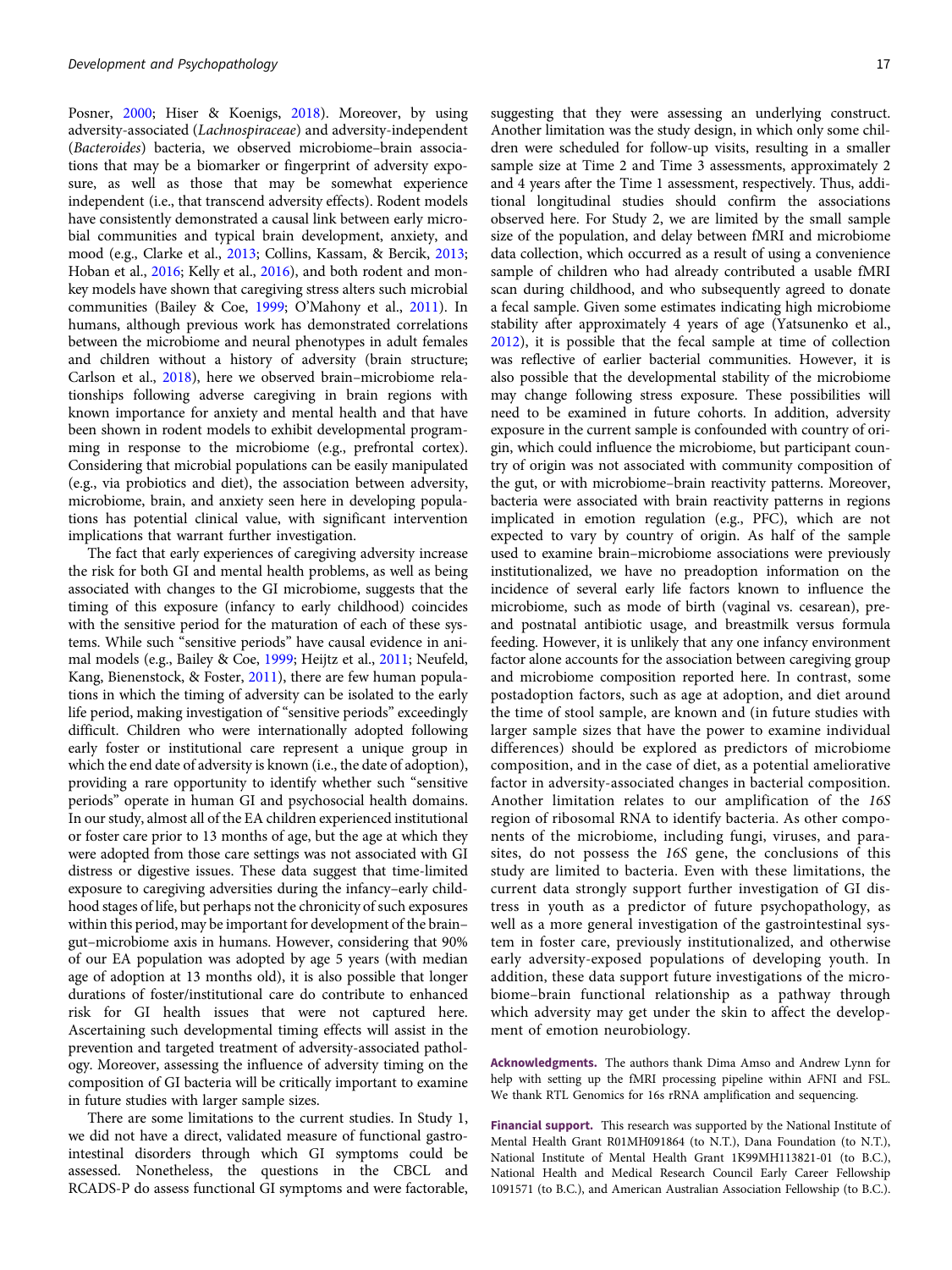Posner, [2000;](#page-17-0) Hiser & Koenigs, [2018\)](#page-18-0). Moreover, by using adversity-associated (Lachnospiraceae) and adversity-independent (Bacteroides) bacteria, we observed microbiome–brain associations that may be a biomarker or fingerprint of adversity exposure, as well as those that may be somewhat experience independent (i.e., that transcend adversity effects). Rodent models have consistently demonstrated a causal link between early microbial communities and typical brain development, anxiety, and mood (e.g., Clarke et al., [2013;](#page-17-0) Collins, Kassam, & Bercik, [2013;](#page-17-0) Hoban et al., [2016;](#page-18-0) Kelly et al., [2016\)](#page-18-0), and both rodent and monkey models have shown that caregiving stress alters such microbial communities (Bailey & Coe, [1999;](#page-17-0) O'Mahony et al., [2011\)](#page-18-0). In humans, although previous work has demonstrated correlations between the microbiome and neural phenotypes in adult females and children without a history of adversity (brain structure; Carlson et al., [2018\)](#page-17-0), here we observed brain–microbiome relationships following adverse caregiving in brain regions with known importance for anxiety and mental health and that have been shown in rodent models to exhibit developmental programming in response to the microbiome (e.g., prefrontal cortex). Considering that microbial populations can be easily manipulated (e.g., via probiotics and diet), the association between adversity, microbiome, brain, and anxiety seen here in developing populations has potential clinical value, with significant intervention implications that warrant further investigation.

The fact that early experiences of caregiving adversity increase the risk for both GI and mental health problems, as well as being associated with changes to the GI microbiome, suggests that the timing of this exposure (infancy to early childhood) coincides with the sensitive period for the maturation of each of these systems. While such "sensitive periods" have causal evidence in animal models (e.g., Bailey & Coe, [1999](#page-17-0); Heijtz et al., [2011](#page-18-0); Neufeld, Kang, Bienenstock, & Foster, [2011](#page-18-0)), there are few human populations in which the timing of adversity can be isolated to the early life period, making investigation of "sensitive periods" exceedingly difficult. Children who were internationally adopted following early foster or institutional care represent a unique group in which the end date of adversity is known (i.e., the date of adoption), providing a rare opportunity to identify whether such "sensitive periods" operate in human GI and psychosocial health domains. In our study, almost all of the EA children experienced institutional or foster care prior to 13 months of age, but the age at which they were adopted from those care settings was not associated with GI distress or digestive issues. These data suggest that time-limited exposure to caregiving adversities during the infancy–early childhood stages of life, but perhaps not the chronicity of such exposures within this period, may be important for development of the brain– gut–microbiome axis in humans. However, considering that 90% of our EA population was adopted by age 5 years (with median age of adoption at 13 months old), it is also possible that longer durations of foster/institutional care do contribute to enhanced risk for GI health issues that were not captured here. Ascertaining such developmental timing effects will assist in the prevention and targeted treatment of adversity-associated pathology. Moreover, assessing the influence of adversity timing on the composition of GI bacteria will be critically important to examine in future studies with larger sample sizes.

There are some limitations to the current studies. In Study 1, we did not have a direct, validated measure of functional gastrointestinal disorders through which GI symptoms could be assessed. Nonetheless, the questions in the CBCL and RCADS-P do assess functional GI symptoms and were factorable,

suggesting that they were assessing an underlying construct. Another limitation was the study design, in which only some children were scheduled for follow-up visits, resulting in a smaller sample size at Time 2 and Time 3 assessments, approximately 2 and 4 years after the Time 1 assessment, respectively. Thus, additional longitudinal studies should confirm the associations observed here. For Study 2, we are limited by the small sample size of the population, and delay between fMRI and microbiome data collection, which occurred as a result of using a convenience sample of children who had already contributed a usable fMRI scan during childhood, and who subsequently agreed to donate a fecal sample. Given some estimates indicating high microbiome stability after approximately 4 years of age (Yatsunenko et al., [2012](#page-19-0)), it is possible that the fecal sample at time of collection was reflective of earlier bacterial communities. However, it is also possible that the developmental stability of the microbiome may change following stress exposure. These possibilities will need to be examined in future cohorts. In addition, adversity exposure in the current sample is confounded with country of origin, which could influence the microbiome, but participant country of origin was not associated with community composition of the gut, or with microbiome–brain reactivity patterns. Moreover, bacteria were associated with brain reactivity patterns in regions implicated in emotion regulation (e.g., PFC), which are not expected to vary by country of origin. As half of the sample used to examine brain–microbiome associations were previously institutionalized, we have no preadoption information on the incidence of several early life factors known to influence the microbiome, such as mode of birth (vaginal vs. cesarean), preand postnatal antibiotic usage, and breastmilk versus formula feeding. However, it is unlikely that any one infancy environment factor alone accounts for the association between caregiving group and microbiome composition reported here. In contrast, some postadoption factors, such as age at adoption, and diet around the time of stool sample, are known and (in future studies with larger sample sizes that have the power to examine individual differences) should be explored as predictors of microbiome composition, and in the case of diet, as a potential ameliorative factor in adversity-associated changes in bacterial composition. Another limitation relates to our amplification of the 16S region of ribosomal RNA to identify bacteria. As other components of the microbiome, including fungi, viruses, and parasites, do not possess the 16S gene, the conclusions of this study are limited to bacteria. Even with these limitations, the current data strongly support further investigation of GI distress in youth as a predictor of future psychopathology, as well as a more general investigation of the gastrointestinal system in foster care, previously institutionalized, and otherwise early adversity-exposed populations of developing youth. In addition, these data support future investigations of the microbiome–brain functional relationship as a pathway through which adversity may get under the skin to affect the development of emotion neurobiology.

Acknowledgments. The authors thank Dima Amso and Andrew Lynn for help with setting up the fMRI processing pipeline within AFNI and FSL. We thank RTL Genomics for 16s rRNA amplification and sequencing.

Financial support. This research was supported by the National Institute of Mental Health Grant R01MH091864 (to N.T.), Dana Foundation (to N.T.), National Institute of Mental Health Grant 1K99MH113821-01 (to B.C.), National Health and Medical Research Council Early Career Fellowship 1091571 (to B.C.), and American Australian Association Fellowship (to B.C.).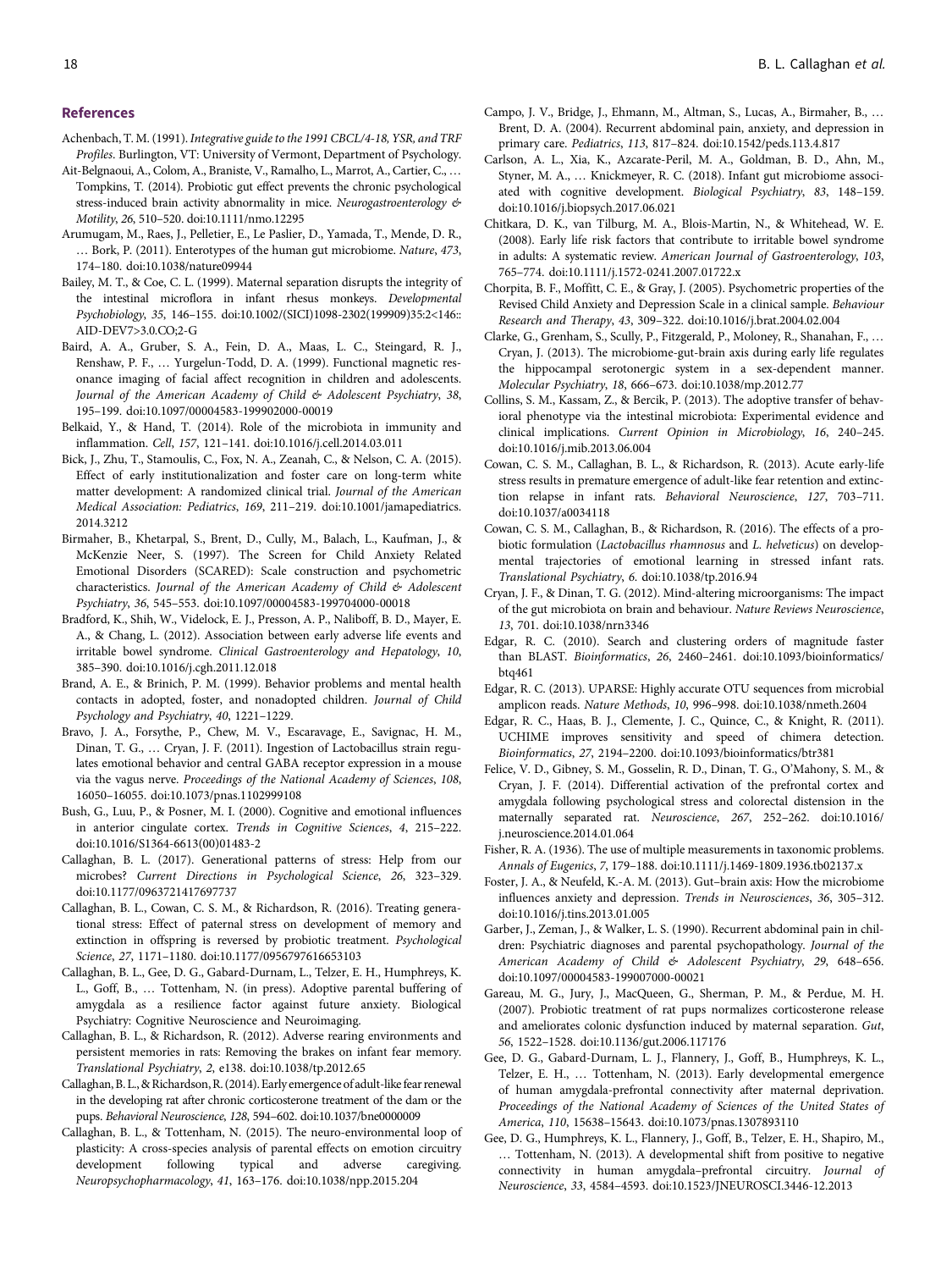#### <span id="page-17-0"></span>References

- Achenbach, T. M. (1991). Integrative guide to the 1991 CBCL/4-18, YSR, and TRF Profiles. Burlington, VT: University of Vermont, Department of Psychology.
- Ait‐Belgnaoui, A., Colom, A., Braniste, V., Ramalho, L., Marrot, A., Cartier, C., … Tompkins, T. (2014). Probiotic gut effect prevents the chronic psychological stress-induced brain activity abnormality in mice. Neurogastroenterology & Motility, 26, 510–520. doi:10.1111/nmo.12295
- Arumugam, M., Raes, J., Pelletier, E., Le Paslier, D., Yamada, T., Mende, D. R., … Bork, P. (2011). Enterotypes of the human gut microbiome. Nature, 473, 174–180. doi:10.1038/nature09944
- Bailey, M. T., & Coe, C. L. (1999). Maternal separation disrupts the integrity of the intestinal microflora in infant rhesus monkeys. Developmental Psychobiology, 35, 146–155. doi:10.1002/(SICI)1098-2302(199909)35:2<146:: AID-DEV7>3.0.CO;2-G
- Baird, A. A., Gruber, S. A., Fein, D. A., Maas, L. C., Steingard, R. J., Renshaw, P. F., … Yurgelun-Todd, D. A. (1999). Functional magnetic resonance imaging of facial affect recognition in children and adolescents. Journal of the American Academy of Child & Adolescent Psychiatry, 38, 195–199. doi:10.1097/00004583-199902000-00019
- Belkaid, Y., & Hand, T. (2014). Role of the microbiota in immunity and inflammation. Cell, 157, 121–141. doi:10.1016/j.cell.2014.03.011
- Bick, J., Zhu, T., Stamoulis, C., Fox, N. A., Zeanah, C., & Nelson, C. A. (2015). Effect of early institutionalization and foster care on long-term white matter development: A randomized clinical trial. Journal of the American Medical Association: Pediatrics, 169, 211–219. doi:10.1001/jamapediatrics. 2014.3212
- Birmaher, B., Khetarpal, S., Brent, D., Cully, M., Balach, L., Kaufman, J., & McKenzie Neer, S. (1997). The Screen for Child Anxiety Related Emotional Disorders (SCARED): Scale construction and psychometric characteristics. Journal of the American Academy of Child & Adolescent Psychiatry, 36, 545–553. doi:10.1097/00004583-199704000-00018
- Bradford, K., Shih, W., Videlock, E. J., Presson, A. P., Naliboff, B. D., Mayer, E. A., & Chang, L. (2012). Association between early adverse life events and irritable bowel syndrome. Clinical Gastroenterology and Hepatology, 10, 385–390. doi:10.1016/j.cgh.2011.12.018
- Brand, A. E., & Brinich, P. M. (1999). Behavior problems and mental health contacts in adopted, foster, and nonadopted children. Journal of Child Psychology and Psychiatry, 40, 1221–1229.
- Bravo, J. A., Forsythe, P., Chew, M. V., Escaravage, E., Savignac, H. M., Dinan, T. G., … Cryan, J. F. (2011). Ingestion of Lactobacillus strain regulates emotional behavior and central GABA receptor expression in a mouse via the vagus nerve. Proceedings of the National Academy of Sciences, 108, 16050–16055. doi:10.1073/pnas.1102999108
- Bush, G., Luu, P., & Posner, M. I. (2000). Cognitive and emotional influences in anterior cingulate cortex. Trends in Cognitive Sciences, 4, 215–222. doi:10.1016/S1364-6613(00)01483-2
- Callaghan, B. L. (2017). Generational patterns of stress: Help from our microbes? Current Directions in Psychological Science, 26, 323–329. doi:10.1177/0963721417697737
- Callaghan, B. L., Cowan, C. S. M., & Richardson, R. (2016). Treating generational stress: Effect of paternal stress on development of memory and extinction in offspring is reversed by probiotic treatment. Psychological Science, 27, 1171–1180. doi:10.1177/0956797616653103
- Callaghan, B. L., Gee, D. G., Gabard-Durnam, L., Telzer, E. H., Humphreys, K. L., Goff, B., … Tottenham, N. (in press). Adoptive parental buffering of amygdala as a resilience factor against future anxiety. Biological Psychiatry: Cognitive Neuroscience and Neuroimaging.
- Callaghan, B. L., & Richardson, R. (2012). Adverse rearing environments and persistent memories in rats: Removing the brakes on infant fear memory. Translational Psychiatry, 2, e138. doi:10.1038/tp.2012.65
- Callaghan, B. L., & Richardson, R. (2014). Early emergence of adult-like fear renewal in the developing rat after chronic corticosterone treatment of the dam or the pups. Behavioral Neuroscience, 128, 594–602. doi:10.1037/bne0000009
- Callaghan, B. L., & Tottenham, N. (2015). The neuro-environmental loop of plasticity: A cross-species analysis of parental effects on emotion circuitry development following typical and adverse caregiving. Neuropsychopharmacology, 41, 163–176. doi:10.1038/npp.2015.204
- Campo, J. V., Bridge, J., Ehmann, M., Altman, S., Lucas, A., Birmaher, B., … Brent, D. A. (2004). Recurrent abdominal pain, anxiety, and depression in primary care. Pediatrics, 113, 817–824. doi:10.1542/peds.113.4.817
- Carlson, A. L., Xia, K., Azcarate-Peril, M. A., Goldman, B. D., Ahn, M., Styner, M. A., … Knickmeyer, R. C. (2018). Infant gut microbiome associated with cognitive development. Biological Psychiatry, 83, 148–159. doi:10.1016/j.biopsych.2017.06.021
- Chitkara, D. K., van Tilburg, M. A., Blois-Martin, N., & Whitehead, W. E. (2008). Early life risk factors that contribute to irritable bowel syndrome in adults: A systematic review. American Journal of Gastroenterology, 103, 765–774. doi:10.1111/j.1572-0241.2007.01722.x
- Chorpita, B. F., Moffitt, C. E., & Gray, J. (2005). Psychometric properties of the Revised Child Anxiety and Depression Scale in a clinical sample. Behaviour Research and Therapy, 43, 309–322. doi:10.1016/j.brat.2004.02.004
- Clarke, G., Grenham, S., Scully, P., Fitzgerald, P., Moloney, R., Shanahan, F., … Cryan, J. (2013). The microbiome-gut-brain axis during early life regulates the hippocampal serotonergic system in a sex-dependent manner. Molecular Psychiatry, 18, 666–673. doi:10.1038/mp.2012.77
- Collins, S. M., Kassam, Z., & Bercik, P. (2013). The adoptive transfer of behavioral phenotype via the intestinal microbiota: Experimental evidence and clinical implications. Current Opinion in Microbiology, 16, 240–245. doi:10.1016/j.mib.2013.06.004
- Cowan, C. S. M., Callaghan, B. L., & Richardson, R. (2013). Acute early-life stress results in premature emergence of adult-like fear retention and extinction relapse in infant rats. Behavioral Neuroscience, 127, 703–711. doi:10.1037/a0034118
- Cowan, C. S. M., Callaghan, B., & Richardson, R. (2016). The effects of a probiotic formulation (Lactobacillus rhamnosus and L. helveticus) on developmental trajectories of emotional learning in stressed infant rats. Translational Psychiatry, 6. doi:10.1038/tp.2016.94
- Cryan, J. F., & Dinan, T. G. (2012). Mind-altering microorganisms: The impact of the gut microbiota on brain and behaviour. Nature Reviews Neuroscience, 13, 701. doi:10.1038/nrn3346
- Edgar, R. C. (2010). Search and clustering orders of magnitude faster than BLAST. Bioinformatics, 26, 2460–2461. doi:10.1093/bioinformatics/ btq461
- Edgar, R. C. (2013). UPARSE: Highly accurate OTU sequences from microbial amplicon reads. Nature Methods, 10, 996–998. doi:10.1038/nmeth.2604
- Edgar, R. C., Haas, B. J., Clemente, J. C., Quince, C., & Knight, R. (2011). UCHIME improves sensitivity and speed of chimera detection. Bioinformatics, 27, 2194–2200. doi:10.1093/bioinformatics/btr381
- Felice, V. D., Gibney, S. M., Gosselin, R. D., Dinan, T. G., O'Mahony, S. M., & Cryan, J. F. (2014). Differential activation of the prefrontal cortex and amygdala following psychological stress and colorectal distension in the maternally separated rat. Neuroscience, 267, 252–262. doi:10.1016/ j.neuroscience.2014.01.064
- Fisher, R. A. (1936). The use of multiple measurements in taxonomic problems. Annals of Eugenics, 7, 179–188. doi:10.1111/j.1469-1809.1936.tb02137.x
- Foster, J. A., & Neufeld, K.-A. M. (2013). Gut–brain axis: How the microbiome influences anxiety and depression. Trends in Neurosciences, 36, 305–312. doi:10.1016/j.tins.2013.01.005
- Garber, J., Zeman, J., & Walker, L. S. (1990). Recurrent abdominal pain in children: Psychiatric diagnoses and parental psychopathology. Journal of the American Academy of Child & Adolescent Psychiatry, 29, 648–656. doi:10.1097/00004583-199007000-00021
- Gareau, M. G., Jury, J., MacQueen, G., Sherman, P. M., & Perdue, M. H. (2007). Probiotic treatment of rat pups normalizes corticosterone release and ameliorates colonic dysfunction induced by maternal separation. Gut, 56, 1522–1528. doi:10.1136/gut.2006.117176
- Gee, D. G., Gabard-Durnam, L. J., Flannery, J., Goff, B., Humphreys, K. L., Telzer, E. H., … Tottenham, N. (2013). Early developmental emergence of human amygdala-prefrontal connectivity after maternal deprivation. Proceedings of the National Academy of Sciences of the United States of America, 110, 15638–15643. doi:10.1073/pnas.1307893110
- Gee, D. G., Humphreys, K. L., Flannery, J., Goff, B., Telzer, E. H., Shapiro, M., … Tottenham, N. (2013). A developmental shift from positive to negative connectivity in human amygdala–prefrontal circuitry. Journal of Neuroscience, 33, 4584–4593. doi:10.1523/JNEUROSCI.3446-12.2013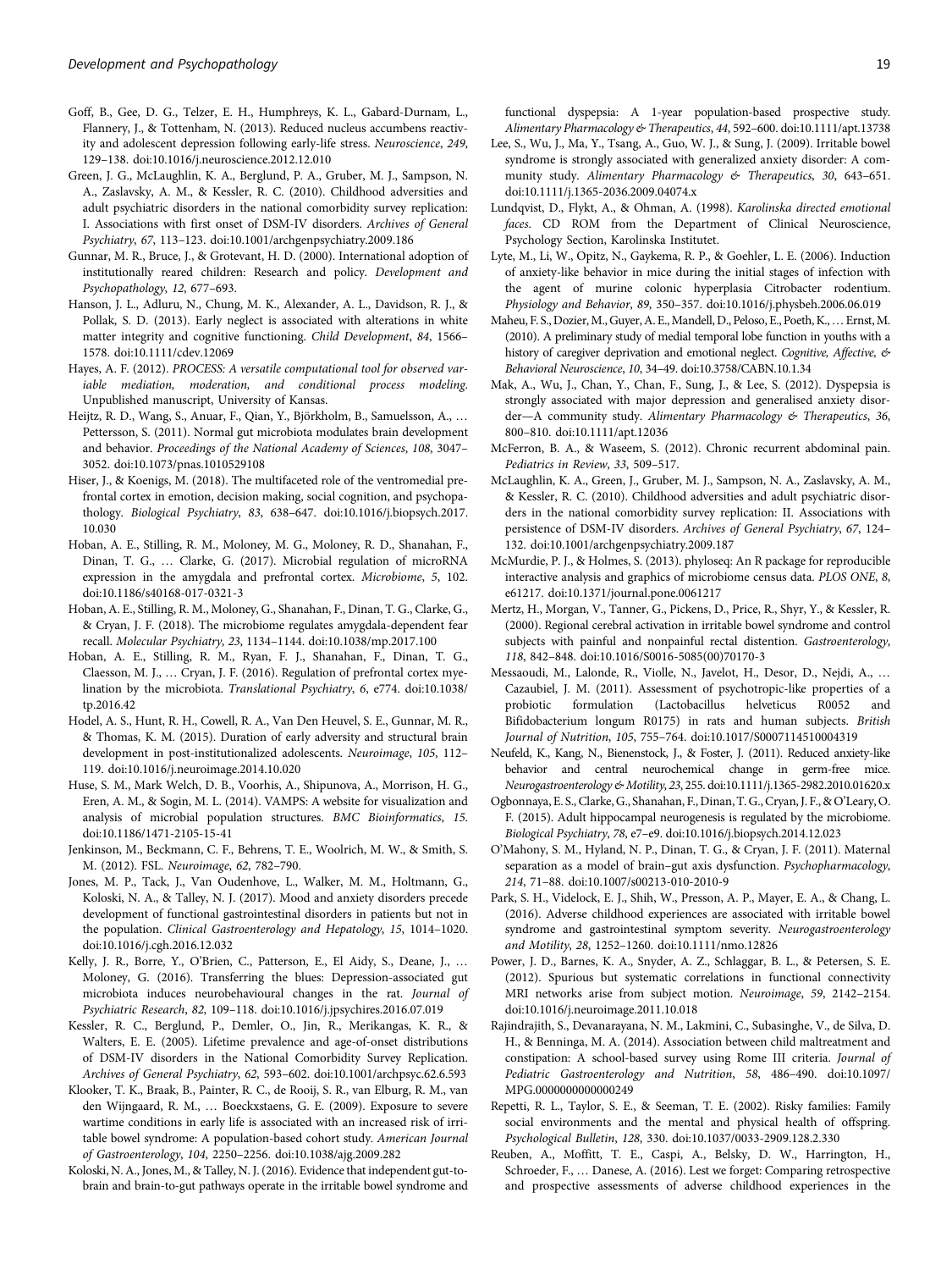- <span id="page-18-0"></span>Goff, B., Gee, D. G., Telzer, E. H., Humphreys, K. L., Gabard-Durnam, L., Flannery, J., & Tottenham, N. (2013). Reduced nucleus accumbens reactivity and adolescent depression following early-life stress. Neuroscience, 249, 129–138. doi:10.1016/j.neuroscience.2012.12.010
- Green, J. G., McLaughlin, K. A., Berglund, P. A., Gruber, M. J., Sampson, N. A., Zaslavsky, A. M., & Kessler, R. C. (2010). Childhood adversities and adult psychiatric disorders in the national comorbidity survey replication: I. Associations with first onset of DSM-IV disorders. Archives of General Psychiatry, 67, 113–123. doi:10.1001/archgenpsychiatry.2009.186
- Gunnar, M. R., Bruce, J., & Grotevant, H. D. (2000). International adoption of institutionally reared children: Research and policy. Development and Psychopathology, 12, 677–693.
- Hanson, J. L., Adluru, N., Chung, M. K., Alexander, A. L., Davidson, R. J., & Pollak, S. D. (2013). Early neglect is associated with alterations in white matter integrity and cognitive functioning. Child Development, 84, 1566– 1578. doi:10.1111/cdev.12069
- Hayes, A. F. (2012). PROCESS: A versatile computational tool for observed variable mediation, moderation, and conditional process modeling. Unpublished manuscript, University of Kansas.
- Heijtz, R. D., Wang, S., Anuar, F., Qian, Y., Björkholm, B., Samuelsson, A., … Pettersson, S. (2011). Normal gut microbiota modulates brain development and behavior. Proceedings of the National Academy of Sciences, 108, 3047– 3052. doi:10.1073/pnas.1010529108
- Hiser, J., & Koenigs, M. (2018). The multifaceted role of the ventromedial prefrontal cortex in emotion, decision making, social cognition, and psychopathology. Biological Psychiatry, 83, 638–647. doi:10.1016/j.biopsych.2017. 10.030
- Hoban, A. E., Stilling, R. M., Moloney, M. G., Moloney, R. D., Shanahan, F., Dinan, T. G., … Clarke, G. (2017). Microbial regulation of microRNA expression in the amygdala and prefrontal cortex. Microbiome, 5, 102. doi:10.1186/s40168-017-0321-3
- Hoban, A. E., Stilling, R. M., Moloney, G., Shanahan, F., Dinan, T. G., Clarke, G., & Cryan, J. F. (2018). The microbiome regulates amygdala-dependent fear recall. Molecular Psychiatry, 23, 1134–1144. doi:10.1038/mp.2017.100
- Hoban, A. E., Stilling, R. M., Ryan, F. J., Shanahan, F., Dinan, T. G., Claesson, M. J., … Cryan, J. F. (2016). Regulation of prefrontal cortex myelination by the microbiota. Translational Psychiatry, 6, e774. doi:10.1038/ tp.2016.42
- Hodel, A. S., Hunt, R. H., Cowell, R. A., Van Den Heuvel, S. E., Gunnar, M. R., & Thomas, K. M. (2015). Duration of early adversity and structural brain development in post-institutionalized adolescents. Neuroimage, 105, 112– 119. doi:10.1016/j.neuroimage.2014.10.020
- Huse, S. M., Mark Welch, D. B., Voorhis, A., Shipunova, A., Morrison, H. G., Eren, A. M., & Sogin, M. L. (2014). VAMPS: A website for visualization and analysis of microbial population structures. BMC Bioinformatics, 15. doi:10.1186/1471-2105-15-41
- Jenkinson, M., Beckmann, C. F., Behrens, T. E., Woolrich, M. W., & Smith, S. M. (2012). FSL. Neuroimage, 62, 782–790.
- Jones, M. P., Tack, J., Van Oudenhove, L., Walker, M. M., Holtmann, G., Koloski, N. A., & Talley, N. J. (2017). Mood and anxiety disorders precede development of functional gastrointestinal disorders in patients but not in the population. Clinical Gastroenterology and Hepatology, 15, 1014–1020. doi:10.1016/j.cgh.2016.12.032
- Kelly, J. R., Borre, Y., O'Brien, C., Patterson, E., El Aidy, S., Deane, J., … Moloney, G. (2016). Transferring the blues: Depression-associated gut microbiota induces neurobehavioural changes in the rat. Journal of Psychiatric Research, 82, 109–118. doi:10.1016/j.jpsychires.2016.07.019
- Kessler, R. C., Berglund, P., Demler, O., Jin, R., Merikangas, K. R., & Walters, E. E. (2005). Lifetime prevalence and age-of-onset distributions of DSM-IV disorders in the National Comorbidity Survey Replication. Archives of General Psychiatry, 62, 593–602. doi:10.1001/archpsyc.62.6.593
- Klooker, T. K., Braak, B., Painter, R. C., de Rooij, S. R., van Elburg, R. M., van den Wijngaard, R. M., … Boeckxstaens, G. E. (2009). Exposure to severe wartime conditions in early life is associated with an increased risk of irritable bowel syndrome: A population-based cohort study. American Journal of Gastroenterology, 104, 2250–2256. doi:10.1038/ajg.2009.282
- Koloski, N. A., Jones, M., & Talley, N. J. (2016). Evidence that independent gut-tobrain and brain‐to‐gut pathways operate in the irritable bowel syndrome and

functional dyspepsia: A 1‐year population‐based prospective study. Alimentary Pharmacology & Therapeutics, 44, 592–600. doi:10.1111/apt.13738

- Lee, S., Wu, J., Ma, Y., Tsang, A., Guo, W. J., & Sung, J. (2009). Irritable bowel syndrome is strongly associated with generalized anxiety disorder: A community study. Alimentary Pharmacology & Therapeutics, 30, 643–651. doi:10.1111/j.1365-2036.2009.04074.x
- Lundqvist, D., Flykt, A., & Ohman, A. (1998). Karolinska directed emotional faces. CD ROM from the Department of Clinical Neuroscience, Psychology Section, Karolinska Institutet.
- Lyte, M., Li, W., Opitz, N., Gaykema, R. P., & Goehler, L. E. (2006). Induction of anxiety-like behavior in mice during the initial stages of infection with the agent of murine colonic hyperplasia Citrobacter rodentium. Physiology and Behavior, 89, 350–357. doi:10.1016/j.physbeh.2006.06.019
- Maheu, F. S., Dozier, M., Guyer, A. E., Mandell, D., Peloso, E., Poeth, K.,…Ernst,M. (2010). A preliminary study of medial temporal lobe function in youths with a history of caregiver deprivation and emotional neglect. Cognitive, Affective, & Behavioral Neuroscience, 10, 34–49. doi:10.3758/CABN.10.1.34
- Mak, A., Wu, J., Chan, Y., Chan, F., Sung, J., & Lee, S. (2012). Dyspepsia is strongly associated with major depression and generalised anxiety disorder-A community study. Alimentary Pharmacology & Therapeutics, 36, 800–810. doi:10.1111/apt.12036
- McFerron, B. A., & Waseem, S. (2012). Chronic recurrent abdominal pain. Pediatrics in Review, 33, 509–517.
- McLaughlin, K. A., Green, J., Gruber, M. J., Sampson, N. A., Zaslavsky, A. M., & Kessler, R. C. (2010). Childhood adversities and adult psychiatric disorders in the national comorbidity survey replication: II. Associations with persistence of DSM-IV disorders. Archives of General Psychiatry, 67, 124– 132. doi:10.1001/archgenpsychiatry.2009.187
- McMurdie, P. J., & Holmes, S. (2013). phyloseq: An R package for reproducible interactive analysis and graphics of microbiome census data. PLOS ONE, 8, e61217. doi:10.1371/journal.pone.0061217
- Mertz, H., Morgan, V., Tanner, G., Pickens, D., Price, R., Shyr, Y., & Kessler, R. (2000). Regional cerebral activation in irritable bowel syndrome and control subjects with painful and nonpainful rectal distention. Gastroenterology, 118, 842–848. doi:10.1016/S0016-5085(00)70170-3
- Messaoudi, M., Lalonde, R., Violle, N., Javelot, H., Desor, D., Nejdi, A., … Cazaubiel, J. M. (2011). Assessment of psychotropic-like properties of a probiotic formulation (Lactobacillus helveticus R0052 and Bifidobacterium longum R0175) in rats and human subjects. British Journal of Nutrition, 105, 755–764. doi:10.1017/S0007114510004319
- Neufeld, K., Kang, N., Bienenstock, J., & Foster, J. (2011). Reduced anxiety‐like behavior and central neurochemical change in germ‐free mice. Neurogastroenterology & Motility, 23, 255. doi:10.1111/j.1365-2982.2010.01620.x
- Ogbonnaya, E. S., Clarke, G., Shanahan, F., Dinan, T. G., Cryan, J. F., & O'Leary, O. F. (2015). Adult hippocampal neurogenesis is regulated by the microbiome. Biological Psychiatry, 78, e7–e9. doi:10.1016/j.biopsych.2014.12.023
- O'Mahony, S. M., Hyland, N. P., Dinan, T. G., & Cryan, J. F. (2011). Maternal separation as a model of brain–gut axis dysfunction. Psychopharmacology, 214, 71–88. doi:10.1007/s00213-010-2010-9
- Park, S. H., Videlock, E. J., Shih, W., Presson, A. P., Mayer, E. A., & Chang, L. (2016). Adverse childhood experiences are associated with irritable bowel syndrome and gastrointestinal symptom severity. Neurogastroenterology and Motility, 28, 1252–1260. doi:10.1111/nmo.12826
- Power, J. D., Barnes, K. A., Snyder, A. Z., Schlaggar, B. L., & Petersen, S. E. (2012). Spurious but systematic correlations in functional connectivity MRI networks arise from subject motion. Neuroimage, 59, 2142–2154. doi:10.1016/j.neuroimage.2011.10.018
- Rajindrajith, S., Devanarayana, N. M., Lakmini, C., Subasinghe, V., de Silva, D. H., & Benninga, M. A. (2014). Association between child maltreatment and constipation: A school-based survey using Rome III criteria. Journal of Pediatric Gastroenterology and Nutrition, 58, 486–490. doi:10.1097/ MPG.0000000000000249
- Repetti, R. L., Taylor, S. E., & Seeman, T. E. (2002). Risky families: Family social environments and the mental and physical health of offspring. Psychological Bulletin, 128, 330. doi:10.1037/0033-2909.128.2.330
- Reuben, A., Moffitt, T. E., Caspi, A., Belsky, D. W., Harrington, H., Schroeder, F., ... Danese, A. (2016). Lest we forget: Comparing retrospective and prospective assessments of adverse childhood experiences in the